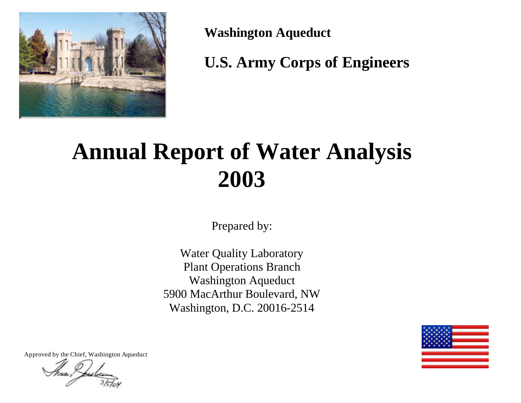

**Washington Aqueduct**

**U.S. Army Corps of Engineers**

# **Annual Report of Water Analysis 2003**

Prepared by:

Water Quality Laboratory Plant Operations Branch Washington Aqueduct 5900 MacArthur Boulevard, NW Washington, D.C. 20016-2514



Approved by the Chief, Washington Aqueduct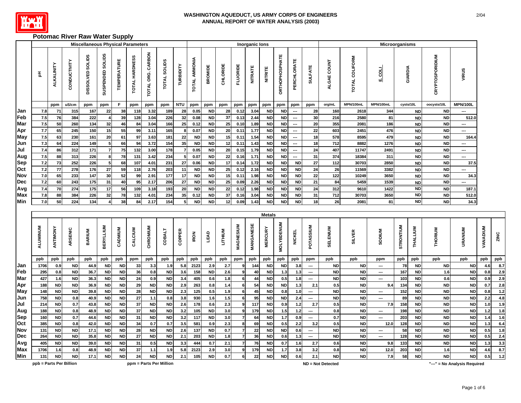

# **Potomac River Raw Water Supply**

|                   |                         |                        |                | <b>Miscellaneous Physical Parameters</b> |                         |                        |                  |                        |                         |                      |                      |                        |                  |                 | Inorganic lons |                                 |                        |                          |                                 |                   |                        | Microorganisms                  |                |                        |                        |                              |                 |              |
|-------------------|-------------------------|------------------------|----------------|------------------------------------------|-------------------------|------------------------|------------------|------------------------|-------------------------|----------------------|----------------------|------------------------|------------------|-----------------|----------------|---------------------------------|------------------------|--------------------------|---------------------------------|-------------------|------------------------|---------------------------------|----------------|------------------------|------------------------|------------------------------|-----------------|--------------|
|                   | 玉                       | ALKALINITY             | CONDUCTIVITY   | <b>SOLIDS</b><br><b>DISSOLVED</b>        | SUSPENDED SOLIDS        | <b>TEMPERATURE</b>     | TOTAL HARDNESS   | TOTAL ORG. CARBON      | <b>TOTAL SOLIDS</b>     | TURBIDITY            | <b>TOTAL AMMONIA</b> | <b>BROMIDE</b>         | CHLORIDE         | <b>FLUORIDE</b> | <b>NITRATE</b> | <b>NITRITE</b>                  | <b>DRTHOPHOSPHATE</b>  | PERCHLORATE              | <b>SULFATE</b>                  | ALGAE COUNT       | TOTAL COLIFORM         | <b>E.COLL</b>                   | <b>GIARDIA</b> |                        | CRYPTOSPORIDIUM        | VIRUS                        |                 |              |
|                   |                         | ppm                    | uS/cm          | ppm                                      | ppm                     | F.                     | ppm              | ppm                    | ppm                     | <b>NTU</b>           | ppm                  | ppm                    | ppm              | ppm             | ppm            | ppm                             | ppm                    | ppm                      | ppm                             | org/mL            | MPN/100mL              | MPN/100mL                       |                | cysts/10L              | oocysts/10L            | <b>MPN/100L</b>              |                 |              |
| Jan               | 7.8                     | 71                     | 315            | 167                                      | 22                      | 38                     | 118              | 3.32                   | 189                     | 28                   | 0.05                 | <b>ND</b>              | 28               | 0.12            | 3.04           | <b>ND</b>                       | <b>ND</b>              | $\overline{\phantom{a}}$ | 28                              | 160               | 2618                   | 344                             |                | <b>ND</b>              | <b>ND</b>              | ---                          |                 |              |
| Feb               | 7.5                     | 76                     | 384            | 222                                      | 4                       | 39                     | 128              | 3.04                   | 226                     | 32                   | 0.08                 | <b>ND</b>              | 37               | 0.13            | 2.44           | <b>ND</b>                       | <b>ND</b>              | $\overline{\phantom{a}}$ | 30                              | 216               | 2580                   | 81                              |                | <b>ND</b>              | <b>ND</b>              | 512.0                        |                 |              |
| Mar               | 7.5                     | 50                     | 260            | 134                                      | 32                      | 46                     | 84               | 3.04                   | 166                     | 25                   | 0.12                 | <b>ND</b>              | 25               | 0.10            | 1.89           | <b>ND</b>                       | <b>ND</b>              | $\cdots$                 | 20                              | 355               | 2081                   | 186                             |                | <b>ND</b>              | <b>ND</b>              | −−                           |                 |              |
| Apr               | 7.7                     | 65                     | 245            | 150                                      | 15                      | 55                     | 99               | 3.11                   | 165                     | -8                   | 0.07                 | <b>ND</b>              | 20               | 0.11            | 1.77           | <b>ND</b>                       | <b>ND</b>              | $\hspace{0.05cm} \cdots$ | 22                              | 603               | 2451                   | 476                             |                | <b>ND</b>              | <b>ND</b>              | ---                          |                 |              |
| May               | 7.5                     | 63                     | 230            | 161                                      | 20                      | 61                     | 97               | 3.63                   | 181                     | 22                   | <b>ND</b>            | ND                     | 15               | 0.11            | 1.54           | <b>ND</b>                       | <b>ND</b>              | $\overline{\phantom{a}}$ | 18                              | 578               | 8595                   | 479                             |                | <b>ND</b>              | <b>ND</b>              | 164.4                        |                 |              |
| Jun               | 7.3                     | 64                     | 224            | 149                                      | $5\overline{)}$         | 66                     | 94               | 3.72                   | 154                     | 35                   | <b>ND</b>            | <b>ND</b>              | 12               | 0.11            | 1.43           | <b>ND</b>                       | <b>ND</b>              | $\hspace{0.05cm} \cdots$ | 18                              | 712               | 8882                   | 1276                            |                | <b>ND</b>              | <b>ND</b>              | −−                           |                 |              |
| Jul               | $7.4$<br>$7.5$          | 86<br>88               | 312<br>313     | 171<br>226                               | $\overline{7}$<br>8     | 75<br>78               | 132<br>131       | 3.00                   | 178<br>234              | $\overline{7}$<br>-5 | 0.05                 | <b>ND</b>              | 20               | 0.15            | 1.79           | <b>ND</b>                       | <b>ND</b>              | $\cdots$<br>---          | 24<br>31                        | 407<br>374        | 11747<br>18384         | 2491                            |                | <b>ND</b>              | <b>ND</b><br><b>ND</b> | ---<br>┄                     |                 |              |
| Aug<br><b>Sep</b> | $7.2$                   | 73                     | 252            | 226                                      | $\overline{\mathbf{5}}$ | 68                     | 107              | 3.42<br>4.01           | 231                     | 27                   | 0.07<br>0.06         | <b>ND</b><br><b>ND</b> | 22<br>$17$       | 0.16<br>0.14    | 1.71<br>1.72   | <b>ND</b><br><b>ND</b>          | <b>ND</b><br><b>ND</b> | <b>ND</b>                | 27                              | 112               | 30703                  | 311<br>2850                     |                | <b>ND</b><br><b>ND</b> | <b>ND</b>              | 37.5                         |                 |              |
| Oct               | 7.2                     | 77                     | 278            | 176                                      | 27                      | 59                     | 118              | 2.76                   | 203                     | 11                   | <b>ND</b>            | <b>ND</b>              | $25\overline{)}$ | 0.12            | 2.16           | <b>ND</b>                       | <b>ND</b>              | <b>ND</b>                | 24                              | 26                | 11569                  | 3382                            |                | <b>ND</b>              | <b>ND</b>              | ---                          |                 |              |
| Nov               | $7.0\,$                 | 65                     | 233            | 147                                      | $30\,$                  | 52                     | 99               | 2.91                   | 177                     | 17                   | <b>ND</b>            | <b>ND</b>              | 15               | 0.11            | 1.98           | <b>ND</b>                       | <b>ND</b>              | <b>ND</b>                | 22                              | 122               | 10249                  | 3650                            |                | <b>ND</b>              | <b>ND</b>              | 34.3                         |                 |              |
| <b>Dec</b>        | 7.2                     | 60                     | 243            | 175                                      | 31                      | 40                     | 95               | 2.17                   | 206                     | 27                   | <b>ND</b>            | <b>ND</b>              | 25               | 0.09            | 2.26           | <b>ND</b>                       | <b>ND</b>              | <b>ND</b>                | 21                              | 84                | 5459                   | 1539                            |                | <b>ND</b>              | <b>ND</b>              | ---                          |                 |              |
| Avg               | 7.4                     | 70                     | 274            | 175                                      | 17                      | 56                     | 109              | 3.18                   | 193                     | 20                   | <b>ND</b>            | ND                     | $\bf 22$         | 0.12            | 1.98           | <b>ND</b>                       | ND                     | ND                       | 24                              | 312               | 9610                   | 1422                            |                | <b>ND</b>              | <b>ND</b>              | 187.1                        |                 |              |
| Max               | 7.8                     | 88                     | 384            | 226                                      | 32                      | 78                     | 132              | 4.01                   | 234                     | 35                   | 0.12                 | <b>ND</b>              | 37               | 0.16            | 3.04           | <b>ND</b>                       | <b>ND</b>              | <b>ND</b>                | 31                              | 712               | 30703                  | 3650                            |                | <b>ND</b>              | <b>ND</b>              | 512.0                        |                 |              |
| Min               | $7.0$                   | 50                     | 224            | 134                                      | $\boldsymbol{4}$        | 38                     | 84               | 2.17                   | 154                     | 5                    | <b>ND</b>            | <b>ND</b>              | 12               | 0.09            | 1.43           | <b>ND</b>                       | <b>ND</b>              | <b>ND</b>                | 18                              | 26                | 2081                   | 81                              |                | <b>ND</b>              | <b>ND</b>              | 34.3                         |                 |              |
|                   |                         |                        |                |                                          |                         |                        |                  |                        |                         |                      |                      |                        |                  |                 |                |                                 |                        |                          |                                 |                   |                        |                                 |                |                        |                        |                              |                 |              |
|                   | ALUMINUM                | ANTIMONY               | ARSENIC        | BARIUM                                   | <b>BERYLLIUM</b>        | CADMIUM                | CALCIUM          | CHROMIUM               | <b>COBALT</b>           | COPPER               | <b>IRON</b>          | LEAD                   | <b>LITHIUM</b>   | MAGNESIUM       | MANGANESE      | <b>Metals</b><br><b>MERCURY</b> | <b>MOLYBDENUM</b>      | <b>NICKEL</b>            | POTASSIUM                       | SELENIUM          | <b>SILVER</b>          | SODIUM                          | STRONTIUM      | THALLIUM               | THORIUM                | URANIUM                      | <b>VANADIUM</b> | ZINC         |
|                   | ppb                     | ppb                    | ppb            | ppb                                      | ppb                     | ppb                    | ppm              | ppb                    | ppb                     | ppb                  | ppb                  | ppb                    | ppb              | ppm             | ppb            | ppb                             | ppb                    | ppb                      | ppm                             | ppb               | ppb                    | ppm                             | ppb            | ppb                    | ppb                    | ppb                          | ppb             | ppb          |
| Jan               | 1706                    | 0.9                    | <b>ND</b>      | 44.9                                     | <b>ND</b>               | <b>ND</b>              | 33               | 3.3                    | 1.9                     | 5.8                  | 2123                 | 2.9                    | 2.7              |                 | 144            | <b>ND</b>                       | <b>ND</b>              | 3.8                      | $\overline{\phantom{a}}$        | <b>ND</b>         | <b>ND</b>              | $\overline{\phantom{a}}$        | 78             | <b>ND</b>              | <b>ND</b>              | <b>ND</b>                    | 4.6             | 8.7          |
| Feb               | 295                     | 0.8                    | <b>ND</b>      | 36.7                                     | <b>ND</b>               | <b>ND</b>              | 36               | 0.8                    | <b>ND</b>               | 3.6                  | 158                  | <b>ND</b>              | 2.6              | 9               | 40             | <b>ND</b>                       | 1.3                    | $1.3$                    | $\hspace{0.05cm} \cdots$        | <b>ND</b>         | <b>ND</b>              | $\hspace{0.05cm} \cdots$        | 167            | <b>ND</b>              | 1.6                    | <b>ND</b>                    | $0.8\,$         | 2.9          |
| Mar               | 427                     | 1.6                    | <b>ND</b>      | 36.3                                     | <b>ND</b>               | <b>ND</b>              | 24               | 0.9                    | <b>ND</b>               | 3.4                  | 405                  | 0.6                    | 1.8              | 6               | 44             | <b>ND</b>                       | 0.5                    | 1.8                      | $\hspace{0.05cm} \cdots$        | <b>ND</b>         | <b>ND</b>              | $\overline{\phantom{a}}$        | 103            | <b>ND</b>              | 0.6                    | <b>ND</b>                    | 0.9             | 2.9          |
| Apr               | 188                     | <b>ND</b>              | <b>ND</b>      | 36.9                                     | <b>ND</b>               | <b>ND</b>              | 29               | <b>ND</b>              | <b>ND</b>               | 2.9                  | 263                  | 0.8                    | $1.4$            | 6               | 54             | <b>ND</b>                       | <b>ND</b>              | 1.3                      | 2.1                             | 0.5               | <b>ND</b>              | 9.4                             | 134            | <b>ND</b>              | <b>ND</b>              | <b>ND</b>                    | $0.7\,$         | 2.8          |
| May               | 148                     | <b>ND</b>              | <b>ND</b>      | 39.8                                     | <b>ND</b>               | <b>ND</b>              | 28               | <b>ND</b>              | <b>ND</b>               | 2.3                  | 125                  | 0.5                    | 1.9              | 6               | 45             | <b>ND</b>                       | 0.8                    | $1.0$                    | $\ldots$                        | <b>ND</b>         | <b>ND</b>              | $\cdots$                        | 152            | <b>ND</b>              | <b>ND</b>              | <b>ND</b>                    | 0.8             | 1.2          |
| Jun               | 758                     | <b>ND</b>              | 0.8            | 40.9                                     | <b>ND</b>               | <b>ND</b>              | 27               | 1.1                    | 0.8                     | 3.8                  | 930                  | 1.6                    | 1.5              | 6               | 95             | <b>ND</b>                       | <b>ND</b>              | 2.4                      | $\hspace{0.05cm} \ldots$        | <b>ND</b><br>0.5  | <b>ND</b>              | $\overline{\phantom{a}}$        | 89             | <b>ND</b>              | <b>ND</b><br><b>ND</b> | <b>ND</b>                    | $2.2\,$         | 4.8          |
| Jul               | 214<br>188              | <b>ND</b><br><b>ND</b> | 0.7            | 43.8<br>48.9                             | <b>ND</b><br><b>ND</b>  | <b>ND</b><br><b>ND</b> | ${\bf 37}$<br>37 | <b>ND</b><br><b>ND</b> | <b>ND</b><br><b>ND</b>  | 2.6                  | 178<br>105           | 0.6<br><b>ND</b>       | $2.3\,$<br>3.0   | 9               | 117<br>179     | <b>ND</b><br><b>ND</b>          | 0.9                    | $1.2$                    | 2.7                             | 0.8               | <b>ND</b><br><b>ND</b> | 7.9<br>$\hspace{0.05cm} \cdots$ | 158<br>198     | <b>ND</b><br><b>ND</b> | <b>ND</b>              | <b>ND</b><br><b>ND</b>       | $1.0$<br>$1.2$  | $1.9$        |
| Aug<br>Sep        | 160                     | <b>ND</b>              | $0.8\,$<br>0.7 | 44.6                                     | <b>ND</b>               | <b>ND</b>              | 31               | <b>ND</b>              | <b>ND</b>               | 3.2<br>3.2           | 117                  | <b>ND</b>              | 3.0              |                 | 64             | <b>ND</b>                       | 1.5<br>$1.7$           | $1.2$<br>0.9             | ---<br>$\hspace{0.05cm} \ldots$ | 0.7               | <b>ND</b>              | $\overline{\phantom{a}}$        | 203            | <b>ND</b>              | <b>ND</b>              | <b>ND</b>                    | $1.4$           | 1.8<br>$1.6$ |
| Oct               | 385                     | <b>ND</b>              | $0.8\,$        | 42.0                                     | <b>ND</b>               | <b>ND</b>              | 34               | 0.7                    | 0.7                     | 3.5                  | 581                  | 0.9                    | 2.3              | -8              | 69             | <b>ND</b>                       | 0.5                    | 2.2                      | 3.2                             | $0.5\,$           | <b>ND</b>              | 12.0                            | 128            | <b>ND</b>              | <b>ND</b>              | <b>ND</b>                    | $1.3$           | 6.4          |
| Nov               | 131                     | <b>ND</b>              | <b>ND</b>      | 17.1                                     | ND                      | <b>ND</b>              | 28               | <b>ND</b>              | <b>ND</b>               | 2.6                  | 137                  | <b>ND</b>              | 0.7              |                 | 22             | <b>ND</b>                       | <b>ND</b>              | 0.6                      | $\hspace{0.05cm} \ldots$        | <b>ND</b>         | <b>ND</b>              | $\cdots$                        | 58             | <b>ND</b>              | <b>ND</b>              | <b>ND</b>                    | 0.5             | 1.8          |
| <b>Dec</b>        | 264                     | <b>ND</b>              | <b>ND</b>      | 35.8                                     | <b>ND</b>               | <b>ND</b>              | 27               | <b>ND</b>              | <b>ND</b>               | 2.1                  | 203                  | <b>ND</b>              | 1.8              | $\overline{7}$  | 36             | <b>ND</b>                       | 0.6                    | 1.3                      | ---                             | <b>ND</b>         | <b>ND</b>              | $\hspace{0.05cm} \cdots$        | 128            | <b>ND</b>              | <b>ND</b>              | <b>ND</b>                    | 0.5             | 2.4          |
| Avg               | 405                     | <b>ND</b>              | <b>ND</b>      | 39.0                                     | <b>ND</b>               | <b>ND</b>              | 31               | 0.5                    | <b>ND</b>               | 3.3                  | 444                  | 0.7                    | 2.1              |                 | 76             | <b>ND</b>                       | $0.7\,$                | 1.6                      | 2.7                             | 0.6               | <b>ND</b>              | 9.8                             | 133            | <b>ND</b>              | <b>ND</b>              | <b>ND</b>                    | $1.3$           | 3.3          |
| Max               | 1706                    | 1.6                    | 0.8            | 48.9                                     | <b>ND</b>               | <b>ND</b>              | 37               | 1.1                    | 1.9                     | 5.8                  | 2123                 | 2.9                    | 3.0              | 9               | 179            | <b>ND</b>                       | 1.7                    | 3.8                      | 3.2                             | 0.8               | <b>ND</b>              | 12.0                            | 203            | <b>ND</b>              | 1.6                    | <b>ND</b>                    | 4.6             | 8.7          |
| Min               | 131                     | <b>ND</b>              | <b>ND</b>      | 17.1                                     | <b>ND</b>               | <b>ND</b>              | 24               | <b>ND</b>              | <b>ND</b>               | 2.1                  | 105                  | <b>ND</b>              | 0.7              |                 | 22             | <b>ND</b>                       | <b>ND</b>              | 0.6                      | 2.1                             | <b>ND</b>         | <b>ND</b>              | 7.9                             | 58             | <b>ND</b>              | <b>ND</b>              | <b>ND</b>                    | 0.5             | $1.2$        |
|                   | ppb = Parts Per Billion |                        |                |                                          |                         |                        |                  |                        | ppm = Parts Per Million |                      |                      |                        |                  |                 |                |                                 |                        |                          |                                 | ND = Not Detected |                        |                                 |                |                        |                        | "---" = No Analysis Required |                 |              |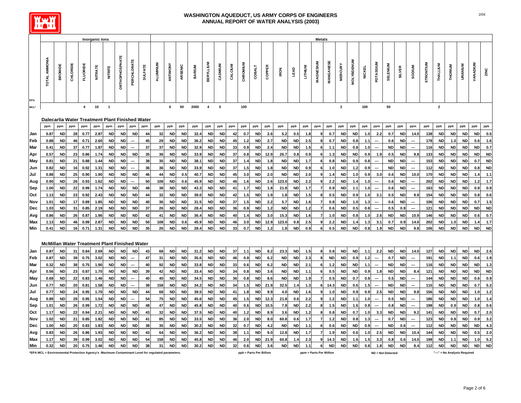

|                  |                                                                                                  |           |          |                 | Inorganic lons |                |                |                          |                |          |           |           |               |                  |           |         |                         |               |        |            |           |         | <b>Metals</b>            |                  |                         |                   |               |                          |                          |               |                          |           |              |           |                              |           |           |
|------------------|--------------------------------------------------------------------------------------------------|-----------|----------|-----------------|----------------|----------------|----------------|--------------------------|----------------|----------|-----------|-----------|---------------|------------------|-----------|---------|-------------------------|---------------|--------|------------|-----------|---------|--------------------------|------------------|-------------------------|-------------------|---------------|--------------------------|--------------------------|---------------|--------------------------|-----------|--------------|-----------|------------------------------|-----------|-----------|
|                  |                                                                                                  |           |          |                 |                |                |                |                          |                |          |           |           |               |                  |           |         |                         |               |        |            |           |         |                          |                  |                         |                   |               |                          |                          |               |                          |           |              |           |                              |           |           |
|                  | TOTAL AMMONIA                                                                                    | BROMIDE   | CHLORIDE | <b>FLUORIDE</b> | <b>NITRATE</b> | NITRITE        | ORTHOPHOSPHATE | PERCHLORATE              | <b>SULFATE</b> | ALUMINUM | ANTIMONY  | ARSENIC   | <b>BARIUM</b> | <b>BERYLLIUM</b> | CADMIUM   | CALCIUM | CHROMIUM                | <b>COBALT</b> | COPPER | <b>RON</b> | LEAD      | LITHIUM | MAGNESIUM                | <b>MANGANESE</b> | <b>MERCURY</b>          | <b>MOLYBDENUM</b> | <b>NICKEL</b> | POTASSIUM                | <b>SELENIUM</b>          | <b>SILVER</b> | <b>SODIUM</b>            | STRONTIUM | THALLIUM     | THORIUM   | URANIUM                      | VANADIUM  | ZINC      |
| EPA              |                                                                                                  |           |          |                 |                |                |                |                          |                |          |           |           |               |                  |           |         |                         |               |        |            |           |         |                          |                  |                         |                   |               |                          |                          |               |                          |           |              |           |                              |           |           |
| MCL <sup>*</sup> |                                                                                                  |           |          | $\overline{4}$  | 10             | $\overline{1}$ |                |                          |                |          | 6         | 50        | 2000          | $\overline{4}$   | 5         |         | 100                     |               |        |            |           |         |                          |                  | $\overline{\mathbf{2}}$ |                   | 100           |                          | 50                       |               |                          |           | $\mathbf{2}$ |           |                              |           |           |
|                  | Dalecarlia Water Treatment Plant Finished Water                                                  |           |          |                 |                |                |                |                          |                |          |           |           |               |                  |           |         |                         |               |        |            |           |         |                          |                  |                         |                   |               |                          |                          |               |                          |           |              |           |                              |           |           |
|                  | ppm                                                                                              | ppm       | ppm      | ppm             | ppm            | ppm            | ppm            | ppm                      | ppm            | ppb      | ppb       | ppb       | ppb           | ppb              | ppb       | ppm     | ppb                     | ppb           | ppb    | ppb        | ppb       | ppb     | ppm                      | ppb              | ppb                     | ppb               | ppb           | ppm                      | ppb                      | ppb           | ppm                      | ppb       | ppb          | ppb       | ppb                          | ppb       | ppb       |
| Jan              | 0.87                                                                                             | <b>ND</b> | 28       | 0.77            | 2.87           | <b>ND</b>      | <b>ND</b>      | <b>ND</b>                | 44             | 32       | <b>ND</b> | <b>ND</b> | 32.4          | <b>ND</b>        | <b>ND</b> | 42      | 0.7                     | <b>ND</b>     | 2.6    | 5.2        | 0.5       | 1.8     |                          | 0.7              | <b>ND</b>               | <b>ND</b>         | 1.0           | 2.2                      | 0.7                      | <b>ND</b>     | 14.0                     | 138       | <b>ND</b>    | <b>ND</b> | <b>ND</b>                    | <b>ND</b> | 0.5       |
| Feb              | 0.88                                                                                             | <b>ND</b> | 46       | 0.71            | 2.60           | <b>ND</b>      | <b>ND</b>      | ---                      | 45             | 29       | <b>ND</b> | <b>ND</b> | 36.2          | <b>ND</b>        | <b>ND</b> | 45      | 1.2                     | <b>ND</b>     | 2.7    | <b>ND</b>  | <b>ND</b> | 2.5     |                          | 0.7              | <b>ND</b>               | 0.8               | 1.1           | ---                      | 0.6                      | <b>ND</b>     |                          | 178       | <b>ND</b>    | 1.0       | <b>ND</b>                    | 0.6       | 1.6       |
| Mar              | 0.41                                                                                             | <b>ND</b> | 37       | 0.77            | 1.87           | <b>ND</b>      | <b>ND</b>      | ---                      | 37             | 37       | <b>ND</b> | <b>ND</b> | 32.9          | <b>ND</b>        | <b>ND</b> | 33      | 0.9                     | <b>ND</b>     | 2.4    | <b>ND</b>  | <b>ND</b> | 1.5     |                          | 1.1              | <b>ND</b>               | 0.8               | 1.0           | ---                      | <b>ND</b>                | <b>ND</b>     |                          | 116       | <b>ND</b>    | <b>ND</b> | <b>ND</b>                    | <b>ND</b> | 0.7       |
| Apr              | 0.57                                                                                             | <b>ND</b> | 23       | 0.86            | 1.74           | ND             | <b>ND</b>      | <b>ND</b>                | 35             | 36       | <b>ND</b> | <b>ND</b> | 33.9          | ND               | <b>ND</b> | 37      | 0.8                     | <b>ND</b>     | 12.9   | 26.7       | 0.8       | 0.9     | 6                        | 1.3              | <b>ND</b>               | <b>ND</b>         | 0.9           | 1.9                      | 0.5                      | <b>ND</b>     | 9.8                      | 133       | <b>ND</b>    | <b>ND</b> | <b>ND</b>                    | <b>ND</b> | <b>ND</b> |
| <b>May</b>       | 0.81                                                                                             | <b>ND</b> | 21       | 0.88            | 1.44           | <b>ND</b>      | <b>ND</b>      |                          | 38             | 35       | <b>ND</b> | <b>ND</b> | 38.1          | <b>ND</b>        | <b>ND</b> | 37      | 1.4                     | <b>ND</b>     | 1.8    | <b>ND</b>  | <b>ND</b> | 1.7     |                          | 0.8              | <b>ND</b>               | 0.9               | 0.8           |                          | <b>ND</b>                | <b>ND</b>     |                          | 153       | <b>ND</b>    | <b>ND</b> | <b>ND</b>                    | 0.7       | <b>ND</b> |
| Jun              | 0.82                                                                                             | <b>ND</b> | 16       | 0.92            | 1.31           | <b>ND</b>      | <b>ND</b>      |                          | 36             | 36       | <b>ND</b> | <b>ND</b> | 33.9          | <b>ND</b>        | <b>ND</b> | 37      | 1.5                     | <b>ND</b>     | 1.8    | <b>ND</b>  | <b>ND</b> | 0.9     | 6                        | 1.0              | <b>ND</b>               | 1.2               | 0.9           |                          | <b>ND</b>                | <b>ND</b>     |                          | 112       | <b>ND</b>    | <b>ND</b> | <b>ND</b>                    | 0.8       | <b>ND</b> |
| Jul              | 0.88                                                                                             | <b>ND</b> | 25       | 0.90            | 1.90           | <b>ND</b>      | <b>ND</b>      | <b>ND</b>                | 46             | 44       | <b>ND</b> | 0.5       | 40.7          | <b>ND</b>        | <b>ND</b> | 45      | 3.0                     | <b>ND</b>     | 2.0    | <b>ND</b>  | <b>ND</b> | 2.0     | q                        | 1.4              | <b>ND</b>               | 1.0               | 0.9           | 3.0                      | 0.6                      | <b>ND</b>     | 10.0                     | 170       | <b>ND</b>    | <b>ND</b> | <b>ND</b>                    | 1.4       | 1.1       |
| Aug              | 0.90                                                                                             | <b>ND</b> | 26       | 0.93            | 1.62           | <b>ND</b>      | <b>ND</b>      | ---                      | 50             | 108      | <b>ND</b> | 0.6       | 45.9          | <b>ND</b>        | <b>ND</b> | 46      | 1.6                     | <b>ND</b>     | 2.6    | 123.0      | <b>ND</b> | 2.2     | 9                        | 2.2              | <b>ND</b>               | 1.4               | 1.0           | ---                      | 0.6                      | <b>ND</b>     |                          | 202       | <b>ND</b>    | <b>ND</b> | <b>ND</b>                    | $1.2$     | $1.7$     |
| Sep              | 1.00                                                                                             | <b>ND</b> | 22       | 0.99            | 1.74           | <b>ND</b>      | <b>ND</b>      | <b>ND</b>                | 48             | 38       | <b>ND</b> | <b>ND</b> | 43.3          | <b>ND</b>        | <b>ND</b> | 41      | 1.7                     | <b>ND</b>     | 1.8    | 21.8       | <b>ND</b> | 1.7     | $\overline{\phantom{a}}$ | 0.9              | <b>ND</b>               | 1.1               | 1.0           |                          | 0.6                      | <b>ND</b>     | ---                      | 163       | <b>ND</b>    | <b>ND</b> | <b>ND</b>                    | 0.9       | 0.9       |
| Oct              | 1.13                                                                                             | <b>ND</b> | 23       | 0.92            | 2.43           | <b>ND</b>      | <b>ND</b>      | <b>ND</b>                | 44             | 32       | <b>ND</b> | <b>ND</b> | 39.0          | <b>ND</b>        | <b>ND</b> | 42      | $1.5$                   | <b>ND</b>     | 1.9    | 1.8        | <b>ND</b> | $1.5$   | 8                        | 0.5              | <b>ND</b>               | 0.9               | 1.0           | 3.1                      | 0.5                      | <b>ND</b>     | 9.9                      | 154       | <b>ND</b>    | <b>ND</b> | <b>ND</b>                    | $0.8\,$   | 0.6       |
| Nov              | 1.01                                                                                             | <b>ND</b> | 17       | 0.89            | 1.85           | <b>ND</b>      | <b>ND</b>      | <b>ND</b>                | 40             | 36       | <b>ND</b> | <b>ND</b> | 31.5          | <b>ND</b>        | <b>ND</b> | 37      | 1.5                     | <b>ND</b>     | 2.2    | 5.7        | <b>ND</b> | 1.6     | $\overline{7}$           | 0.8              | <b>ND</b>               | 1.0               | 1.3           | ---                      | 0.6                      | <b>ND</b>     |                          | 106       | <b>ND</b>    | <b>ND</b> | <b>ND</b>                    | 0.7       | 1.5       |
| Dec              | 1.03                                                                                             | <b>ND</b> | 31       | 0.85            | 2.19           | <b>ND</b>      | <b>ND</b>      | <b>ND</b>                | 37             | 26       | <b>ND</b> | <b>ND</b> | 28.4          | <b>ND</b>        | <b>ND</b> | 36      | 0.9                     | ND            | $1.2$  | ND         | <b>ND</b> | $1.2$   | $\overline{7}$           | 0.6              | <b>ND</b>               | 0.5               | 0.8           | ---                      | 0.5                      | 0.9           | $\overline{\phantom{a}}$ | 121       | ND           | <b>ND</b> | <b>ND</b>                    | $\sf ND$  | <b>ND</b> |
| Avg              | 0.86                                                                                             | <b>ND</b> | 26       | 0.87            | 1.96           | ND             | ND             | <b>ND</b>                | 42             | 41       | <b>ND</b> | <b>ND</b> | 36.4          | ND               | <b>ND</b> | 40      | 1.4                     | <b>ND</b>     | 3.0    | 15.3       | <b>ND</b> | 1.6     |                          | 1.0              | <b>ND</b>               | 0.8               | 1.0           | 2.6                      | <b>ND</b>                | ND            | 10.9                     | 146       | <b>ND</b>    | <b>ND</b> | <b>ND</b>                    | 0.6       | 0.7       |
| Max              | 1.13                                                                                             | <b>ND</b> | 46       | 0.99            | 2.87           | <b>ND</b>      | <b>ND</b>      | <b>ND</b>                | 50             | 108      | <b>ND</b> | 0.6       | 45.9          | <b>ND</b>        | <b>ND</b> | 46      | 3.0                     | <b>ND</b>     | 12.9   | 123.0      | 0.8       | 2.5     | $\mathbf{Q}$             | 2.2              | <b>ND</b>               | 1.4               | 1.3           | 3.1                      | 0.7                      | 0.9           | 14.0                     | 202       | <b>ND</b>    | 1.0       | <b>ND</b>                    | 1.4       | $1.7$     |
| Min              | 0.41                                                                                             | <b>ND</b> | 16       | 0.71            | 1.31           | <b>ND</b>      | <b>ND</b>      | <b>ND</b>                | 35             | 26       | <b>ND</b> | <b>ND</b> | 28.4          | <b>ND</b>        | <b>ND</b> | 33      | 0.7                     | <b>ND</b>     | 1.2    | 1.8        | <b>ND</b> | 0.9     |                          | 0.5              | <b>ND</b>               | <b>ND</b>         | 0.8           | 1.9                      | <b>ND</b>                | ND            | 9.8                      | 106       | <b>ND</b>    | <b>ND</b> | ND                           | <b>ND</b> | <b>ND</b> |
|                  |                                                                                                  |           |          |                 |                |                |                |                          |                |          |           |           |               |                  |           |         |                         |               |        |            |           |         |                          |                  |                         |                   |               |                          |                          |               |                          |           |              |           |                              |           |           |
|                  | <b>McMillan Water Treatment Plant Finished Water</b>                                             |           |          |                 |                |                |                |                          |                |          |           |           |               |                  |           |         |                         |               |        |            |           |         |                          |                  |                         |                   |               |                          |                          |               |                          |           |              |           |                              |           |           |
| Jan              | 0.87                                                                                             | <b>ND</b> | 31       | 0.84            | 2.69           | <b>ND</b>      | <b>ND</b>      | <b>ND</b>                | 43             | 68       | <b>ND</b> | <b>ND</b> | 31.2          | <b>ND</b>        | <b>ND</b> | 37      | 1.1                     | ND            | 8.2    | 23.3       | <b>ND</b> | 1.5     | 8                        | 0.8              | <b>ND</b>               | <b>ND</b>         | 1.1           | 2.2                      | <b>ND</b>                | <b>ND</b>     | 14.0                     | 127       | ND           | <b>ND</b> | ND                           | <b>ND</b> | 2.6       |
| Feb              | 0.87                                                                                             | <b>ND</b> | 39       | 0.75            | 3.02           | <b>ND</b>      | <b>ND</b>      | ---                      | 47             | 31       | <b>ND</b> | <b>ND</b> | 35.6          | <b>ND</b>        | <b>ND</b> | 46      | 0.9                     | <b>ND</b>     | 6.2    | <b>ND</b>  | <b>ND</b> | 2.3     |                          | <b>ND</b>        | <b>ND</b>               | 0.9               | 1.2           | ---                      | 0.7                      | <b>ND</b>     |                          | 191       | <b>ND</b>    | 1.1       | <b>ND</b>                    | 0.6       | 1.9       |
| Mar              | 0.32                                                                                             | <b>ND</b> | 38       | 0.75            | 1.90           | <b>ND</b>      | <b>ND</b>      | $\overline{\phantom{a}}$ | 40             | 92       | <b>ND</b> | <b>ND</b> | 33.8          | <b>ND</b>        | <b>ND</b> | 33      | 0.6                     | <b>ND</b>     | 6.2    | <b>ND</b>  | <b>ND</b> | 2.1     | 6                        | 1.2              | <b>ND</b>               | <b>ND</b>         | 1.1           | ---                      | <b>ND</b>                | <b>ND</b>     | ---                      | 116       | <b>ND</b>    | <b>ND</b> | <b>ND</b>                    | $\sf ND$  | $1.3$     |
| Apr              | 0.56                                                                                             | <b>ND</b> | 23       | 0.87            | 1.70           | <b>ND</b>      | <b>ND</b>      | <b>ND</b>                | 39             | 42       | <b>ND</b> | <b>ND</b> | 33.4          | <b>ND</b>        | <b>ND</b> | 34      | 0.8                     | <b>ND</b>     | 3.6    | <b>ND</b>  | <b>ND</b> | 1.1     |                          | 0.5              | <b>ND</b>               | <b>ND</b>         | 0.9           | 1.8                      | <b>ND</b>                | <b>ND</b>     | 8.4                      | 121       | <b>ND</b>    | <b>ND</b> | <b>ND</b>                    | <b>ND</b> | <b>ND</b> |
| May              | 0.68                                                                                             | <b>ND</b> | 22       | 0.83            | 1.46           | <b>ND</b>      | <b>ND</b>      | ---                      | 40             | 40       | <b>ND</b> | <b>ND</b> | 34.5          | <b>ND</b>        | <b>ND</b> | 36      | 0.8                     | <b>ND</b>     | 8.6    | ND         | <b>ND</b> | 1.9     | $\overline{\phantom{a}}$ | 0.5              | <b>ND</b>               | 0.7               | 0.8           |                          | 0.5                      | <b>ND</b>     |                          | 144       | <b>ND</b>    | <b>ND</b> | <b>ND</b>                    | 0.6       | 0.9       |
| Jun              | 0.77                                                                                             | <b>ND</b> | 20       | 0.81            | 1.58           | <b>ND</b>      | <b>ND</b>      | ---                      | 38             | 158      | <b>ND</b> | <b>ND</b> | 34.2          | <b>ND</b>        | <b>ND</b> | 34      | $1.5$                   | $\sf ND$      | 21.9   | 32.5       | 1.4       | 1.3     | 6                        | 14.3             | <b>ND</b>               | 0.6               | $1.5$         | $\overline{\phantom{a}}$ | <b>ND</b>                | <b>ND</b>     |                          | 115       | <b>ND</b>    | <b>ND</b> | <b>ND</b>                    | $0.7\,$   | 5.2       |
| Jul              | 0.77                                                                                             | <b>ND</b> | 24       | 0.95            | 1.70           | <b>ND</b>      | <b>ND</b>      | <b>ND</b>                | 44             | 68       | <b>ND</b> | <b>ND</b> | 39.           | <b>ND</b>        | <b>ND</b> | 41      | 1.8                     | <b>ND</b>     | 9.9    | 4.0        | <b>ND</b> | 1.6     | 9                        | 1.0              | <b>ND</b>               | 0.9               | 0.9           | 2.5                      | <b>ND</b>                | ND            | 9.8                      | 156       | <b>ND</b>    | <b>ND</b> | <b>ND</b>                    | 1.0       | $1.2$     |
| Aug              | 0.89                                                                                             | <b>ND</b> | 29       | 0.95            | 1.54           | ND             | <b>ND</b>      | ---                      | 54             | 75       | <b>ND</b> | <b>ND</b> | 45.6          | <b>ND</b>        | <b>ND</b> | 45      | 1.5                     | <b>ND</b>     | 12.3   | 21.8       | 0.6       | 2.2     | 9                        | 1.2              | <b>ND</b>               | 1.1               | 1.0           |                          | 0.5                      | <b>ND</b>     | ---                      | 186       | <b>ND</b>    | <b>ND</b> | <b>ND</b>                    | $1.0$     | $1.4$     |
| Sep              | 1.01                                                                                             | <b>ND</b> | 26       | 0.99            | 1.72           | ND             | <b>ND</b>      | <b>ND</b>                | 48             | 47       | <b>ND</b> | <b>ND</b> | 45.8          | ND               | <b>ND</b> | 40      | 0.6                     | <b>ND</b>     | 10.5   | 7.8        | <b>ND</b> | 2.2     | 8                        | 1.5              | <b>ND</b>               | 1.6               | 0.8           | ---                      | 0.8                      | <b>ND</b>     | ---                      | 198       | <b>ND</b>    | 0.9       | <b>ND</b>                    | 0.8       | 0.6       |
| Oct              | 1.17                                                                                             | <b>ND</b> | 22       | 0.94            | 2.21           | <b>ND</b>      | <b>ND</b>      | <b>ND</b>                | 43             | 32       | <b>ND</b> | <b>ND</b> | 37.5          | <b>ND</b>        | <b>ND</b> | 40      | 1.2                     | <b>ND</b>     | 8.9    | 3.6        | <b>ND</b> | 1.2     |                          | 0.8              | <b>ND</b>               | 0.7               | 1.0           | 3.3                      | <b>ND</b>                | <b>ND</b>     | 9.2                      | 141       | <b>ND</b>    | <b>ND</b> | <b>ND</b>                    | 0.7       | 2.0       |
| Nov              | 1.02                                                                                             | <b>ND</b> | 21       | 0.85            | 1.82           | <b>ND</b>      | <b>ND</b>      | <b>ND</b>                | 41             | 85       | <b>ND</b> | <b>ND</b> | 33.5          | <b>ND</b>        | <b>ND</b> | 36      | 2.0                     | <b>ND</b>     | 8.0    | 60.8       | 0.6       | 1.7     |                          | 1.2              | <b>ND</b>               | 0.8               | 1.3           | ---                      | 0.7                      | <b>ND</b>     |                          | 123       | <b>ND</b>    | 0.8       | <b>ND</b>                    | 0.9       | 3.2       |
| Dec              | 1.00                                                                                             | ND        | 20       | 0.83            | 1.83           | ND             | <b>ND</b>      | <b>ND</b>                | 38             | 35       | <b>ND</b> | <b>ND</b> | 30.2          | <b>ND</b>        | <b>ND</b> | 32      | 0.7                     | <b>ND</b>     | 4.2    | <b>ND</b>  | <b>ND</b> | $1.1$   | 6                        | 0.6              | <b>ND</b>               | <b>ND</b>         | 0.9           | ---                      | <b>ND</b>                | 0.6           | $\hspace{0.05cm} \cdots$ | 112       | <b>ND</b>    | <b>ND</b> | <b>ND</b>                    | <b>ND</b> | 4.3       |
| Avg              | 0.83                                                                                             | <b>ND</b> | 26       | 0.86            | 1.93           | <b>ND</b>      | <b>ND</b>      | <b>ND</b>                | 43             | 64       | <b>ND</b> | <b>ND</b> | 36.2          | <b>ND</b>        | <b>ND</b> | 38      | 1.1                     | <b>ND</b>     | 9.0    | 12.8       | <b>ND</b> | 1.7     | $\overline{7}$           | 1.9              | <b>ND</b>               | 0.6               | 1.0           | 2.5                      | <b>ND</b>                | <b>ND</b>     | 10.4                     | 144       | <b>ND</b>    | <b>ND</b> | <b>ND</b>                    | 0.5       | 2.0       |
| Max              | 1.17                                                                                             | <b>ND</b> | 39       | 0.99            | 3.02           | <b>ND</b>      | <b>ND</b>      | <b>ND</b>                | 54             | 158      | <b>ND</b> | <b>ND</b> | 45.8          | <b>ND</b>        | <b>ND</b> | 46      | 2.0                     | <b>ND</b>     | 21.9   | 60.8       | 1.4       | 2.3     |                          | 14.3             | <b>ND</b>               | 1.6               | 1.5           | 3.3                      | 0.8                      | 0.6           | 14.0                     | 198       | <b>ND</b>    | 1.1       | <b>ND</b>                    | 1.0       | 5.2       |
| Min              | 0.32                                                                                             | <b>ND</b> | 20       | 0.75            | 1.46           | <b>ND</b>      | <b>ND</b>      | <b>ND</b>                | 38             | 31       | <b>ND</b> | <b>ND</b> | 30.2          | <b>ND</b>        | <b>ND</b> | 32      | 0.6                     | <b>ND</b>     | 3.6    | <b>ND</b>  | <b>ND</b> | 1.1     | 6                        | <b>ND</b>        | <b>ND</b>               | <b>ND</b>         | 0.8           | 1.8                      | <b>ND</b>                | <b>ND</b>     | 8.4                      | 112       | <b>ND</b>    | <b>ND</b> | <b>ND</b>                    | <b>ND</b> | <b>ND</b> |
|                  | *EPA MCL = Environmental Protection Agency's Maximum Contaminant Level for regulated parameters. |           |          |                 |                |                |                |                          |                |          |           |           |               |                  |           |         | ppb = Parts Per Billion |               |        |            |           |         | ppm = Parts Per Million  |                  |                         |                   |               |                          | <b>ND = Not Detected</b> |               |                          |           |              |           | "---" = No Analysis Required |           |           |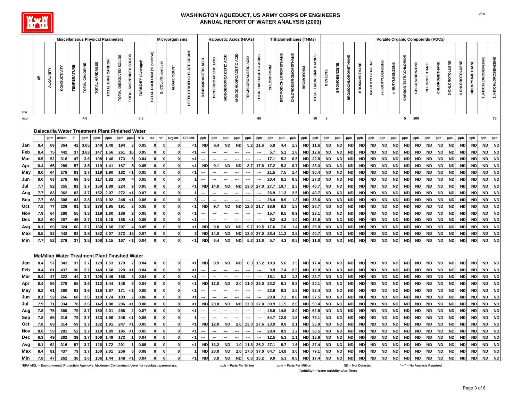

|            |            |            |                                                      |                    |                | <b>Miscellaneous Physical Parameters</b> |                   |                        |                        |                      |                             |                      | Microorganisms |                           |                    |                     |                      | <b>Haloacetic Acids (HAAs)</b> |                      |                        |                   |                             | <b>Trihalomethanes (THMs)</b> |                        |                       |                          |                        |                           |                        |                        |                        |                        |                        | Volatile Organic Compounds (VOCs) |                        |                        |                 |                 |                        |                        |                        |
|------------|------------|------------|------------------------------------------------------|--------------------|----------------|------------------------------------------|-------------------|------------------------|------------------------|----------------------|-----------------------------|----------------------|----------------|---------------------------|--------------------|---------------------|----------------------|--------------------------------|----------------------|------------------------|-------------------|-----------------------------|-------------------------------|------------------------|-----------------------|--------------------------|------------------------|---------------------------|------------------------|------------------------|------------------------|------------------------|------------------------|-----------------------------------|------------------------|------------------------|-----------------|-----------------|------------------------|------------------------|------------------------|
|            | 玉          | ALKALINITY | CONDUCTIVITY                                         | <b>TEMPERATURE</b> | TOTAL CHLORINE | TOTAL HARDNESS                           | TOTAL ORG. CARBON | TOTAL DISSOLVED SOLIDS | TOTAL SUSPENDED SOLIDS | TURBIDITY (Average)* | TOTAL COLIFORM (% positive) | E. COLI (% positive) | ALGAE COUNT    | HETEROTROPHIC PLATE COUNT | DIBROMOACETIC ACID | DICHLOROACETIC ACID | MONOBROMOACETIC ACID | MONOCHLOROACETIC ACID          | TRICHLOROACETIC ACID | TOTAL HALOACETIC ACIDS | <b>CHLOROFORM</b> | <b>BROMODICHLOROMETHANE</b> | CHLORODIBROMOMETHANE          | <b>BROMOFORM</b>       | TOTAL TRIHALOMETHANES | <b>BENZENE</b>           | <b>BROMOBENZENE</b>    | <b>BROMOCHLOROMETHANE</b> | <b>BROMOMETHANE</b>    | tert-BUTYLBENZENE      | sec-BUTYLBENZENE       | n-BUTYLBENZENE         | CARBON TETRACHLORIDE   | <b>CHLOROBENZENE</b>              | CHLOROETHANE           | CHLOROMETHANE          | 2-CHLOROTOLUENE | 4-CHLOROTOLUENE | <b>DIBROMOMETHANE</b>  | 3-DICHLOROBENZENE      | 1,4-DICHLOROBENZENE    |
| MCL*       |            |            |                                                      |                    | 4.0            |                                          |                   |                        |                        | 0.5                  |                             |                      |                |                           |                    |                     |                      |                                |                      | 60                     |                   |                             |                               |                        | 80                    | $\overline{\phantom{0}}$ |                        |                           |                        |                        |                        |                        |                        | 5 100                             |                        |                        |                 |                 |                        |                        | ${\bf 75}$             |
|            |            |            |                                                      |                    |                |                                          |                   |                        |                        |                      |                             |                      |                |                           |                    |                     |                      |                                |                      |                        |                   |                             |                               |                        |                       |                          |                        |                           |                        |                        |                        |                        |                        |                                   |                        |                        |                 |                 |                        |                        |                        |
|            |            |            | Dalecarlia Water Treatment Plant Finished Water      |                    |                |                                          |                   |                        |                        |                      |                             |                      |                |                           |                    |                     |                      |                                |                      |                        |                   |                             |                               |                        |                       |                          |                        |                           |                        |                        |                        |                        |                        |                                   |                        |                        |                 |                 |                        |                        |                        |
|            |            | ppm        | uS/cm                                                | E                  | ppm            | ppm                                      | ppm               | ppm                    | ppm                    | <b>NTU</b>           | $\% +$                      | $\% +$               | Org/mL         | CFU/mL                    | ppb                | ppb                 | ppb                  | ppb                            | ppb                  | ppb                    | ppb               | ppb                         | ppb                           | ppb                    | ppb                   | ppb                      | ppb                    | ppb                       | ppb                    | ppb                    | ppb                    | ppb                    | ppb                    | ppb                               | ppb                    | ppb                    | ppb             | ppb             | ppb                    | ppb                    | ppb                    |
| Jan        | 8.4        | 69         | 364                                                  | 42                 | 3.65           | 140                                      |                   | 194                    |                        | 0.05                 |                             |                      |                | <1                        | <b>ND</b>          | 6.4                 | <b>ND</b>            | <b>ND</b>                      | 5.2                  | 11.6                   | 5.9               | 4.4                         |                               | <b>ND</b>              | 11.6                  | <b>ND</b>                | <b>ND</b>              | <b>ND</b>                 | <b>ND</b>              | <b>ND</b>              | <b>ND</b>              | <b>ND</b>              | <b>ND</b>              | <b>ND</b>                         | <b>ND</b>              | <b>ND</b>              | <b>ND</b>       | <b>ND</b>       | <b>ND</b>              | <b>ND</b>              | <b>ND</b>              |
| Feb        | 8.4        | 75         | 442                                                  | 37                 | 3.63           | 147                                      | 1.56              | 261                    | 16                     | 0.05                 |                             |                      |                | <1                        | ---                |                     |                      |                                | ---                  |                        | 5.7               | 5.1                         | 1.8                           | <b>ND</b>              | 12.6                  | <b>ND</b>                | <b>ND</b>              | <b>ND</b>                 | <b>ND</b>              | <b>ND</b>              | <b>ND</b>              | <b>ND</b>              | <b>ND</b>              | <b>ND</b>                         | <b>ND</b>              | <b>ND</b>              | <b>ND</b>       | <b>ND</b>       | <b>ND</b>              | <b>ND</b>              | <b>ND</b>              |
| Mar        | 8.5<br>8.4 | 52<br>65   | 316<br>289                                           | 47<br>57           | 3.6<br>3.5     | 108<br>119                               | 1.46<br>1.41      | 173<br>167             |                        | 0.04<br>0.05         |                             | $\Omega$             | $\Omega$       | ا><br>< 1                 | <b>ND</b>          | 9.1                 | <b>ND</b>            | <b>ND</b>                      | 8.7                  | 17.8                   | 17.1<br>17.2      | 5.2<br>5.3                  | 0.5<br>0.7                    | <b>ND</b><br><b>ND</b> | 22.8<br>23.3          | <b>ND</b><br><b>ND</b>   | <b>ND</b><br><b>ND</b> | <b>ND</b><br><b>ND</b>    | <b>ND</b><br><b>ND</b> | <b>ND</b><br><b>ND</b> | <b>ND</b><br><b>ND</b> | <b>ND</b><br><b>ND</b> | <b>ND</b><br><b>ND</b> | <b>ND</b><br><b>ND</b>            | <b>ND</b><br><b>ND</b> | <b>ND</b><br><b>ND</b> | ND<br><b>ND</b> | ND<br><b>ND</b> | <b>ND</b><br><b>ND</b> | <b>ND</b><br><b>ND</b> | <b>ND</b><br><b>ND</b> |
| Apr<br>May | 8.0        | 64         | 279                                                  | 63                 | 3.7            | 119                                      | 1.90              | 182                    | <1                     | 0.05                 |                             | $\mathbf{0}$         | $\mathbf{0}$   | <1                        | ---                |                     |                      |                                |                      | ---                    | 21.5              | 7.5                         | 1.4                           | <b>ND</b>              | 30.4                  | <b>ND</b>                | <b>ND</b>              | <b>ND</b>                 | <b>ND</b>              | <b>ND</b>              | <b>ND</b>              | <b>ND</b>              | <b>ND</b>              | <b>ND</b>                         | <b>ND</b>              | <b>ND</b>              | ND              | <b>ND</b>       | <b>ND</b>              | <b>ND</b>              | <b>ND</b>              |
| Jun        | 8.0        | 63         | 278                                                  | 69                 | 3.6            | 117                                      | 1.82              | 200                    |                        | 0.05                 |                             |                      | $\mathbf{0}$   |                           |                    |                     |                      |                                |                      |                        | 20.4              | 6.1                         | 0.8                           | <b>ND</b>              | 27.3                  | <b>ND</b>                | <b>ND</b>              | <b>ND</b>                 | <b>ND</b>              | <b>ND</b>              | <b>ND</b>              | <b>ND</b>              | <b>ND</b>              | <b>ND</b>                         | <b>ND</b>              | <b>ND</b>              | <b>ND</b>       | <b>ND</b>       | <b>ND</b>              | <b>ND</b>              | <b>ND</b>              |
| Jul        | 7.7        | 82         | 355                                                  | 81                 | 3.7            | 150                                      | 1.89              | 224                    |                        | 0.05                 |                             |                      | 0              | < 1                       | <b>ND</b>          | 14.0                | <b>ND</b>            | <b>ND</b>                      | 13.0                 | 27.0                   | 27.7              | 10.7                        | 2.3                           | <b>ND</b>              | 40.7                  | <b>ND</b>                | <b>ND</b>              | <b>ND</b>                 | <b>ND</b>              | <b>ND</b>              | <b>ND</b>              | <b>ND</b>              | <b>ND</b>              | <b>ND</b>                         | <b>ND</b>              | <b>ND</b>              | <b>ND</b>       | <b>ND</b>       | <b>ND</b>              | <b>ND</b>              | <b>ND</b>              |
| Aug        | 7.7        | 83         | 362                                                  | 83                 | 3.7            | 152                                      | 2.07              | 272                    |                        | 0.07                 |                             | $\Omega$             | $\mathbf{0}$   |                           |                    |                     |                      |                                |                      |                        | 26.9              | 11.3                        | 2.5                           | <b>ND</b>              | 40.7                  | <b>ND</b>                | <b>ND</b>              | <b>ND</b>                 | <b>ND</b>              | <b>ND</b>              | <b>ND</b>              | <b>ND</b>              | <b>ND</b>              | <b>ND</b>                         | <b>ND</b>              | <b>ND</b>              | <b>ND</b>       | <b>ND</b>       | <b>ND</b>              | <b>ND</b>              | <b>ND</b>              |
| Sep        | 7.7        | 68         | 308                                                  | 83                 | 3.8            | 133                                      | 1.92              | 248                    | <1                     | 0.06                 |                             |                      |                |                           | ---                |                     |                      |                                |                      |                        | 28.4              | 8.9                         | 1.3                           | <b>ND</b>              | 38.6                  | <b>ND</b>                | <b>ND</b>              | <b>ND</b>                 | <b>ND</b>              | <b>ND</b>              | <b>ND</b>              | <b>ND</b>              | <b>ND</b>              | <b>ND</b>                         | <b>ND</b>              | <b>ND</b>              | <b>ND</b>       | <b>ND</b>       | <b>ND</b>              | <b>ND</b>              | <b>ND</b>              |
| Oct        | 7.8        | 77         | 326                                                  | 61                 | 3.8            | 138                                      | 1.95              | 191                    |                        | 0.05                 |                             | 0                    | $\mathbf 0$    | <1                        | <b>ND</b>          | 9.7                 | <b>ND</b>            | <b>ND</b>                      | 12.0                 | 21.7                   | 16.6              | 8.3                         | 1.8                           | <b>ND</b>              | 26.7                  | <b>ND</b>                | <b>ND</b>              | <b>ND</b>                 | <b>ND</b>              | <b>ND</b>              | <b>ND</b>              | <b>ND</b>              | <b>ND</b>              | <b>ND</b>                         | <b>ND</b>              | <b>ND</b>              | <b>ND</b>       | <b>ND</b>       | <b>ND</b>              | <b>ND</b>              | <b>ND</b>              |
| Nov        | 7.9        | 64         | 280                                                  | 55                 | 3.8            | 119                                      | 1.60              | 186                    |                        | 0.05                 |                             | - 0                  |                | <1                        | ---                |                     |                      |                                | ---                  | ---                    | 15.7              | 6.5                         | 0.9                           | <b>ND</b>              | 23.1                  | <b>ND</b>                | <b>ND</b>              | <b>ND</b>                 | <b>ND</b>              | <b>ND</b>              | <b>ND</b>              | <b>ND</b>              | <b>ND</b>              | <b>ND</b>                         | <b>ND</b>              | <b>ND</b>              | <b>ND</b>       | <b>ND</b>       | <b>ND</b>              | <b>ND</b>              | <b>ND</b>              |
| Dec        | 8.2        | 60         | 287                                                  | 45                 | 3.7            | 116                                      | 1.15              | 188                    |                        | 0.05                 |                             |                      |                | <1                        |                    |                     |                      |                                |                      |                        | 8.2               | 4.3                         | 1.0                           | <b>ND</b>              | 13.5                  | <b>ND</b>                | <b>ND</b>              | <b>ND</b>                 | <b>ND</b>              | <b>ND</b>              | <b>ND</b>              | <b>ND</b>              | <b>ND</b>              | <b>ND</b>                         | <b>ND</b>              | <b>ND</b>              | <b>ND</b>       | <b>ND</b>       | <b>ND</b>              | <b>ND</b>              | <b>ND</b>              |
| Avg        | 8.1        | 69         | 324                                                  | 60                 | 3.7            | 130                                      | 1.68              | 207                    |                        | 0.05                 | $\mathbf{0}$                | $\mathbf 0$          | $\mathbf{0}$   | < 1                       | <b>ND</b>          | 9.8                 | <b>ND</b>            | <b>ND</b>                      | 9.7                  | 19.5                   | 17.6              | 7.0                         | 1.4                           | <b>ND</b>              | 25.9                  | <b>ND</b>                | ND                     | <b>ND</b>                 | <b>ND</b>              | <b>ND</b>              | <b>ND</b>              | <b>ND</b>              | <b>ND</b>              | <b>ND</b>                         | <b>ND</b>              | <b>ND</b>              | <b>ND</b>       | <b>ND</b>       | <b>ND</b>              | <b>ND</b>              | <b>ND</b>              |
| Max        | 8.5        | 83         | 442                                                  | 83                 | 3.8            | 152                                      | 2.07              | 272                    | 16                     | 0.07                 |                             | - 0                  | $\mathbf{0}$   | 3                         | <b>ND</b>          | 14.0                | <b>ND</b>            | <b>ND</b>                      | 13.0                 | 27.0                   | 28.4              | 11.3                        | 2.5                           | <b>ND</b>              | 40.7                  | <b>ND</b>                | <b>ND</b>              | <b>ND</b>                 | <b>ND</b>              | <b>ND</b>              | <b>ND</b>              | <b>ND</b>              | <b>ND</b>              | <b>ND</b>                         | <b>ND</b>              | <b>ND</b>              | <b>ND</b>       | <b>ND</b>       | <b>ND</b>              | <b>ND</b>              | <b>ND</b>              |
| Min        | 7.7        | 52         | 278                                                  | 37                 | 3.5            | 108                                      | 1.15              | 167                    | <1                     | 0.04                 | $\mathbf{0}$                | $\mathbf 0$          | $\mathbf{0}$   | <1                        | <b>ND</b>          | 6.4                 | <b>ND</b>            | <b>ND</b>                      | 5.2                  | 11.6                   | 5.7               | 4.3                         | 0.5                           | <b>ND</b>              | 11.6                  | <b>ND</b>                | <b>ND</b>              | <b>ND</b>                 | <b>ND</b>              | <b>ND</b>              | <b>ND</b>              | <b>ND</b>              | <b>ND</b>              | <b>ND</b>                         | <b>ND</b>              | <b>ND</b>              | <b>ND</b>       | <b>ND</b>       | <b>ND</b>              | <b>ND</b>              | <b>ND</b>              |
|            |            |            |                                                      |                    |                |                                          |                   |                        |                        |                      |                             |                      |                |                           |                    |                     |                      |                                |                      |                        |                   |                             |                               |                        |                       |                          |                        |                           |                        |                        |                        |                        |                        |                                   |                        |                        |                 |                 |                        |                        |                        |
|            |            |            | <b>McMillan Water Treatment Plant Finished Water</b> |                    |                |                                          |                   |                        |                        |                      |                             |                      |                |                           |                    |                     |                      |                                |                      |                        |                   |                             |                               |                        |                       |                          |                        |                           |                        |                        |                        |                        |                        |                                   |                        |                        |                 |                 |                        |                        |                        |
| Jan        | 8.4        | 57         | 343                                                  | 37                 | 3.7            | 129                                      | 1.53              | 179                    |                        | 0.04                 |                             | $\Omega$             | $\mathbf{0}$   | < 1                       | <b>ND</b>          | 8.9                 | <b>ND</b>            | <b>ND</b>                      | 6.3                  | 15.2                   | 10.3              | 5.6                         | 1.5                           | <b>ND</b>              | 17.4                  | <b>ND</b>                | <b>ND</b>              | <b>ND</b>                 | <b>ND</b>              | <b>ND</b>              | <b>ND</b>              | <b>ND</b>              | <b>ND</b>              | <b>ND</b>                         | <b>ND</b>              | <b>ND</b>              | <b>ND</b>       | <b>ND</b>       | <b>ND</b>              | <b>ND</b>              | <b>ND</b>              |
| Feb        | 8.4        | 81         | 437                                                  | 36                 | 3.7            | 149                                      | 1.60              | 229                    | ا>                     | 0.04                 |                             |                      |                | $\leq$ 1                  | ---                | …                   |                      |                                | ---                  | …                      | 9.9               | 7.4                         | 2.5                           | <b>ND</b>              | 19.8                  | <b>ND</b>                | <b>ND</b>              | <b>ND</b>                 | <b>ND</b>              | <b>ND</b>              | <b>ND</b>              | <b>ND</b>              | <b>ND</b>              | <b>ND</b>                         | <b>ND</b>              | <b>ND</b>              | <b>ND</b>       | <b>ND</b>       | <b>ND</b>              | <b>ND</b>              | <b>ND</b>              |
| Mar        | 8.4        | 47         | 322                                                  | 44                 | 3.7            | 106                                      | 1.46              | 166                    |                        | 0.04                 |                             |                      |                | <1                        |                    |                     |                      |                                |                      |                        | 15.1              | 6.3                         | 1.3                           | <b>ND</b>              | 22.7                  | <b>ND</b>                | <b>ND</b>              | <b>ND</b>                 | <b>ND</b>              | <b>ND</b>              | <b>ND</b>              | <b>ND</b>              | <b>ND</b>              | <b>ND</b>                         | <b>ND</b>              | <b>ND</b>              | <b>ND</b>       | <b>ND</b>       | <b>ND</b>              | <b>ND</b>              | <b>ND</b>              |
| Apr        | 8.4        | 56         | 278                                                  | 55                 | 3.6            | 112                                      | 1.44              | 148                    |                        | 0.04                 |                             |                      |                | <1                        | <b>ND</b>          | 12.0                | ND                   | 2.0                            | 11.0                 | 25.0                   | 23.2              | 6.1                         | 0.8                           | <b>ND</b>              | 30.7                  | ND                       | <b>ND</b>              | <b>ND</b>                 | <b>ND</b>              | <b>ND</b>              | <b>ND</b>              | <b>ND</b>              | <b>ND</b>              | <b>ND</b>                         | <b>ND</b>              | <b>ND</b>              | <b>ND</b>       | <b>ND</b>       | <b>ND</b>              | <b>ND</b>              | <b>ND</b>              |
| May        | 8.2        | 61         | 280                                                  | 63                 | 3.6            | 118                                      | 1.67              | 171                    |                        | 0.05                 |                             | 0                    | $\mathbf{0}$   | <1                        |                    |                     |                      |                                |                      |                        | 22.6              | 8.3                         | 1.5                           | <b>ND</b>              | 32.4                  | <b>ND</b>                | <b>ND</b>              | <b>ND</b>                 | <b>ND</b>              | <b>ND</b>              | <b>ND</b>              | <b>ND</b>              | <b>ND</b>              | <b>ND</b>                         | <b>ND</b>              | <b>ND</b>              | <b>ND</b>       | <b>ND</b>       | <b>ND</b>              | <b>ND</b>              | <b>ND</b>              |
| Jun        | 8.1        | 52         | 266                                                  | 68                 | 3.6            | 110                                      | 1.74              | 193                    |                        | 0.06                 |                             |                      | $\Omega$       | <1                        |                    |                     |                      |                                |                      |                        | 29.4              | 7.3                         | 0.8                           | <b>ND</b>              | 37.5                  | <b>ND</b>                | <b>ND</b>              | <b>ND</b>                 | <b>ND</b>              | <b>ND</b>              | <b>ND</b>              | <b>ND</b>              | <b>ND</b>              | <b>ND</b>                         | <b>ND</b>              | <b>ND</b>              | <b>ND</b>       | <b>ND</b>       | <b>ND</b>              | <b>ND</b>              | <b>ND</b>              |
| Jul        | 7.9        | 71         | 334                                                  | 78                 | 3.6            | 142                                      | 1.88              | 206                    |                        | 0.08                 |                             |                      |                | < 1                       | <b>ND</b>          | 20.0                | <b>ND</b>            | <b>ND</b>                      | 17.0                 | 37.0                   | 39.9              | 11.5                        | 2.0                           | <b>ND</b>              | 53.4                  | <b>ND</b>                | <b>ND</b>              | <b>ND</b>                 | <b>ND</b>              | <b>ND</b>              | <b>ND</b>              | <b>ND</b>              | <b>ND</b>              | <b>ND</b>                         | <b>ND</b>              | <b>ND</b>              | <b>ND</b>       | <b>ND</b>       | <b>ND</b>              | <b>ND</b>              | <b>ND</b>              |
| Aug        | 7.8        | 75         | 360                                                  | 79                 | 3.7            | 150                                      | 2.01              | 256                    |                        | 0.07                 |                             |                      | $\mathbf 0$    | <1                        |                    |                     |                      |                                |                      |                        | 45.0              | 14.8                        | 3.0                           | <b>ND</b>              | 62.8                  | <b>ND</b>                | <b>ND</b>              | <b>ND</b>                 | <b>ND</b>              | <b>ND</b>              | <b>ND</b>              | <b>ND</b>              | ND                     | <b>ND</b>                         | <b>ND</b>              | <b>ND</b>              | <b>ND</b>       | <b>ND</b>       | <b>ND</b>              | <b>ND</b>              | <b>ND</b>              |
| Sep        | 7.8        | 65         | 316                                                  | 79                 | 3.7            | 133                                      | 1.98              | 248                    |                        | 0.06                 |                             |                      |                |                           |                    |                     |                      |                                |                      |                        | 64.7              | 12.9                        | 1.5                           | <b>ND</b>              | 79.1                  | <b>ND</b>                | <b>ND</b>              | <b>ND</b>                 | <b>ND</b>              | <b>ND</b>              | <b>ND</b>              | <b>ND</b>              | ND                     | <b>ND</b>                         | <b>ND</b>              | <b>ND</b>              | <b>ND</b>       | <b>ND</b>       | <b>ND</b>              | <b>ND</b>              | <b>ND</b>              |
| Oct        | 7.8        | 69         | 314                                                  | 59                 | 3.7            | 132                                      | 1.91              | 247                    | <1                     | 0.05                 |                             | $\mathbf{0}$         | $\mathbf{0}$   | < 1                       | <b>ND</b>          | 12.0                | <b>ND</b>            | 2.6                            | 13.0                 | 27.6                   | 23.9              | 9.9                         | 2.1                           | <b>ND</b>              | 35.9                  | <b>ND</b>                | <b>ND</b>              | <b>ND</b>                 | <b>ND</b>              | <b>ND</b>              | <b>ND</b>              | <b>ND</b>              | <b>ND</b>              | <b>ND</b>                         | <b>ND</b>              | <b>ND</b>              | <b>ND</b>       | <b>ND</b>       | <b>ND</b>              | <b>ND</b>              | <b>ND</b>              |
| Nov        | 8.0        | 59         | 281                                                  | 52                 | 3.7            | 119                                      | 1.89              | 195                    | ا>                     | 0.05                 |                             | $\Omega$             | $\mathbf{0}$   | <1                        | ---                | ---                 | ---                  | ---                            | ---                  | ---                    | 28.4              | 8.9                         | 1.2                           | <b>ND</b>              | 38.5                  | <b>ND</b>                | <b>ND</b>              | <b>ND</b>                 | <b>ND</b>              | <b>ND</b>              | <b>ND</b>              | <b>ND</b>              | <b>ND</b>              | <b>ND</b>                         | <b>ND</b>              | <b>ND</b>              | <b>ND</b>       | <b>ND</b>       | <b>ND</b>              | <b>ND</b>              | <b>ND</b>              |
| Dec        | 8.3        | 49         | 262                                                  | 39                 | 3.7            | 106                                      | 1.49              | 172                    |                        | 0.04                 |                             | $\mathbf{0}$         | $\mathbf{0}$   | $\leq$ 1                  | ┄                  |                     |                      |                                |                      |                        | 12.5              | 5.3                         | 1.1                           | <b>ND</b>              | 18.9                  | <b>ND</b>                | <b>ND</b>              | <b>ND</b>                 | <b>ND</b>              | <b>ND</b>              | <b>ND</b>              | <b>ND</b>              | <b>ND</b>              | <b>ND</b>                         | <b>ND</b>              | <b>ND</b>              | <b>ND</b>       | <b>ND</b>       | <b>ND</b>              | <b>ND</b>              | <b>ND</b>              |
| Avg        | 8.1        | 62         | 316                                                  | 57                 | 3.7            | 126                                      | 1.72              | 201                    |                        | 0.05                 |                             | - 0                  |                | $<$ 1                     | <b>ND</b>          | 13.2                | <b>ND</b>            | 1.0                            | 11.8                 | 26.2                   | 27.1              | 8.7                         | 1.6                           | <b>ND</b>              | 37.4                  | <b>ND</b>                | <b>ND</b>              | <b>ND</b>                 | <b>ND</b>              | <b>ND</b>              | <b>ND</b>              | <b>ND</b>              | <b>ND</b>              | <b>ND</b>                         | <b>ND</b>              | <b>ND</b>              | <b>ND</b>       | <b>ND</b>       | <b>ND</b>              | <b>ND</b>              | <b>ND</b>              |
| Max        | 8.4        | 81         | 437                                                  | 79                 | 3.7            | 150                                      | 2.01              | 256                    |                        | 0.08                 |                             | $\mathbf 0$          | 8              |                           | <b>ND</b>          | 20.0                | <b>ND</b>            | 2.6                            | 17.0                 | 37.0                   | 64.7              | 14.8                        | 3.0                           | <b>ND</b>              | 79.1                  | ND                       | <b>ND</b>              | <b>ND</b>                 | <b>ND</b>              | <b>ND</b>              | <b>ND</b>              | <b>ND</b>              | <b>ND</b>              | <b>ND</b>                         | <b>ND</b>              | <b>ND</b>              | <b>ND</b>       | <b>ND</b>       | <b>ND</b>              | <b>ND</b>              | <b>ND</b>              |
| Min        | 7.8        | 47         | 262                                                  | 36                 | 3.6            | 106                                      | 1.44              | 148                    | < 1                    | 0.04                 | $\mathbf{0}$                | $\mathbf{0}$         | $\mathbf{0}$   | $\leq$ 1                  | <b>ND</b>          | 8.9                 | <b>ND</b>            | <b>ND</b>                      | 6.3                  | 15.2                   | 9.9               | 5.3                         | 0.8                           | <b>ND</b>              | 17.4                  | <b>ND</b>                | <b>ND</b>              | <b>ND</b>                 | <b>ND</b>              | <b>ND</b>              | <b>ND</b>              | <b>ND</b>              | <b>ND</b>              | <b>ND</b>                         | <b>ND</b>              | <b>ND</b>              | <b>ND</b>       | <b>ND</b>       | <b>ND</b>              | <b>ND</b>              | <b>ND</b>              |

**\*EPA MCL = Environmental Protection Agency's Maximum Contaminant Level for regulated parameters. ppb = Parts Per Billion ppm = Parts Per Million "---" = No Analysis Required**

**Turbidity\* = Water turbidity after filters** 

**ND = Not Detected**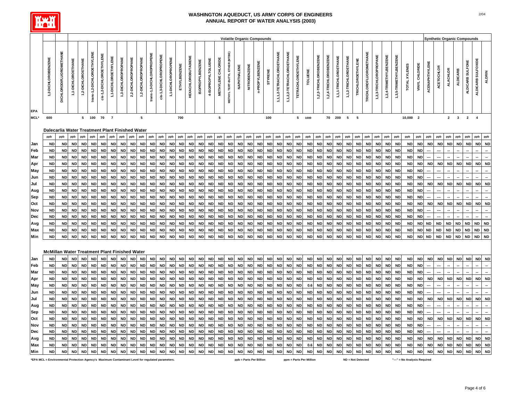

|                    |                                                        |                         |                        |                        |                            |                          |                        |                        |                        |                        |                           |                         |                        |                        |                            |                         |                        |                        |                                |                        |                        | <b>Volatile Organic Compounds</b> |                        |                           |                           |                            |                        |                        |                        |                        |                        |                          |                        |                        |                         |                        |                        |                         |                        |                        |                        | <b>Synthetic Organic Compounds</b> |                            |                        |                        |
|--------------------|--------------------------------------------------------|-------------------------|------------------------|------------------------|----------------------------|--------------------------|------------------------|------------------------|------------------------|------------------------|---------------------------|-------------------------|------------------------|------------------------|----------------------------|-------------------------|------------------------|------------------------|--------------------------------|------------------------|------------------------|-----------------------------------|------------------------|---------------------------|---------------------------|----------------------------|------------------------|------------------------|------------------------|------------------------|------------------------|--------------------------|------------------------|------------------------|-------------------------|------------------------|------------------------|-------------------------|------------------------|------------------------|------------------------|------------------------------------|----------------------------|------------------------|------------------------|
|                    |                                                        |                         |                        |                        |                            |                          |                        |                        |                        |                        |                           |                         |                        |                        |                            |                         |                        |                        |                                |                        |                        |                                   |                        |                           |                           |                            |                        |                        |                        |                        |                        |                          |                        |                        |                         |                        |                        |                         |                        |                        |                        |                                    |                            |                        |                        |
|                    | 1,2-DICHLOROBENZENE                                    | DICHLORODIFLUOROMETHANE | 1,1-DICHLOROETHANE     | 1,2-DICHLOROETHANE     | trans-1,2-DICHLOROETHYLENE | cis-1,2-DICHLOROETHYLENE | 1,1-DICHLOROETHYLENE   | 1,3-DICHLOROPROPANE    | 2,2-DICHLOROPROPANE    | 1,2-DICHLOROPROPANE    | trans-1,3-DICHLOROPROPENE | cis-1,3-DICHLOROPROPENE | 1,1-DICHLOROPROPENE    | ETHYLBENZENE           | <b>HEXACHLOROBUTADIENE</b> | <b>ISOPROPYLBENZENE</b> | 4-ISOPROPYLTOLUENE     | METHYLENE CHLORIDE     | METHYL TERT-BUTYL ETHER (MTBE) | NAPHTHALENE            | NITROBENZENE           | n-PROPYLBENZENE                   | STYRENE                | 1,1,1,2-TETRACHLOROETHANE | 1,1,2,2-TETRACHLOROETHANE | <b>TETRACHLOROETHYLENE</b> | <b>TOLUENE</b>         | 1,2,3-TRICHLOROBENZENE | 1,2,4-TRICHLOROBENZENE | 1,1,1-TRICHLOROETHANE  | 1,1,2-TRICHLOROETHANE  | TRICHLOROETHYLENE        | TRICHLOROFLUOROMETHANE | 1,2,3-TRICHLOROPROPANE | 1,2,4-TRIMETHYLBENZENE  | 1,3,5-TRIMETHYLBENZENE | TOTAL XYLENES          | VINYL CHLORIDE          | ACENAPHTHYLENE         | <b>ACETOCHLOR</b>      | <b>ALACHLOR</b>        | <b>ALDICARB</b>                    | ALDICARB SULFONE           | ALDICARB SULFOXIDE     | <b>ALDRIN</b>          |
| <b>EPA</b><br>MCL* | 600                                                    |                         |                        | 5                      | 100                        | 70                       | $\overline{7}$         |                        |                        | 5                      |                           |                         |                        | 700                    |                            |                         |                        | ${\bf 5}$              |                                |                        |                        |                                   | 100                    |                           |                           | 5                          | 1000                   |                        | 70                     | 200                    | 5                      | $\overline{\phantom{0}}$ |                        |                        |                         |                        | 10,000                 | $\overline{\mathbf{2}}$ |                        |                        | $\mathbf{2}$           | $\mathbf{3}$                       | $\overline{2}$             | $\overline{4}$         |                        |
|                    |                                                        |                         |                        |                        |                            |                          |                        |                        |                        |                        |                           |                         |                        |                        |                            |                         |                        |                        |                                |                        |                        |                                   |                        |                           |                           |                            |                        |                        |                        |                        |                        |                          |                        |                        |                         |                        |                        |                         |                        |                        |                        |                                    |                            |                        |                        |
|                    | Dalecarlia Water Treatment Plant Finished Water<br>ppb | ppb                     | ppb                    | ppb                    | ppb                        | ppb                      | ppb                    | ppb                    | ppb                    | ppb                    | ppb                       | ppb                     | ppb                    | ppb                    | ppb                        | ppb                     | ppb                    | ppb                    | ppb                            | ppb                    | ppb                    | ppb                               | ppb                    | ppb                       | ppb                       | ppb                        | ppb                    | ppb                    | ppb                    | ppb                    | ppb                    | ppb                      | ppb                    | ppb                    | ppb                     | ppb                    | ppb                    | ppb                     | ppb                    | ppb                    | ppb                    | ppb                                | ppb                        | ppb                    | ppb                    |
| Jan                | <b>ND</b>                                              | <b>ND</b>               | <b>ND</b>              | <b>ND</b>              | ND                         | <b>ND</b>                | <b>ND</b>              | <b>ND</b>              | <b>ND</b>              | <b>ND</b>              | <b>ND</b>                 | <b>ND</b>               | <b>ND</b>              | <b>ND</b>              | <b>ND</b>                  | <b>ND</b>               | <b>ND</b>              | <b>ND</b>              | <b>ND</b>                      | <b>ND</b>              | <b>ND</b>              | <b>ND</b>                         | <b>ND</b>              | <b>ND</b>                 | <b>ND</b>                 | <b>ND</b>                  | <b>ND</b>              | <b>ND</b>              | <b>ND</b>              | <b>ND</b>              | <b>ND</b>              | <b>ND</b>                | <b>ND</b>              | <b>ND</b>              | <b>ND</b>               | <b>ND</b>              | <b>ND</b>              | <b>ND</b>               | <b>ND</b>              | <b>ND</b>              | <b>ND</b>              | <b>ND</b>                          | <b>ND</b>                  | <b>ND</b>              | <b>ND</b>              |
| Feb                | <b>ND</b>                                              | <b>ND</b>               | <b>ND</b>              | <b>ND</b>              | ND                         | <b>ND</b>                | ND                     | <b>ND</b>              | <b>ND</b>              | <b>ND</b>              | <b>ND</b>                 | ND                      | <b>ND</b>              | <b>ND</b>              | <b>ND</b>                  | <b>ND</b>               | <b>ND</b>              | <b>ND</b>              | ND                             | <b>ND</b>              | <b>ND</b>              | <b>ND</b>                         | <b>ND</b>              | ND                        | <b>ND</b>                 | <b>ND</b>                  | <b>ND</b>              | <b>ND</b>              | <b>ND</b>              | <b>ND</b>              | <b>ND</b>              | <b>ND</b>                | <b>ND</b>              | ND                     | <b>ND</b>               | <b>ND</b>              | <b>ND</b>              | <b>ND</b>               |                        |                        |                        |                                    |                            |                        |                        |
| Mar                | <b>ND</b>                                              | <b>ND</b>               | <b>ND</b>              | <b>ND</b>              | <b>ND</b>                  | <b>ND</b>                | <b>ND</b>              | <b>ND</b>              | <b>ND</b>              | <b>ND</b>              | <b>ND</b>                 | <b>ND</b>               | <b>ND</b>              | <b>ND</b>              | <b>ND</b>                  | <b>ND</b>               | <b>ND</b>              | <b>ND</b>              | <b>ND</b>                      | <b>ND</b>              | <b>ND</b>              | <b>ND</b>                         | <b>ND</b>              | <b>ND</b>                 | ND                        | <b>ND</b>                  | <b>ND</b>              | <b>ND</b>              | <b>ND</b>              | <b>ND</b>              | <b>ND</b>              | <b>ND</b>                | <b>ND</b>              | <b>ND</b>              | <b>ND</b>               | <b>ND</b>              | <b>ND</b>              | <b>ND</b>               |                        |                        |                        |                                    |                            |                        |                        |
| Apr                | <b>ND</b>                                              | <b>ND</b>               | <b>ND</b>              | <b>ND</b>              | <b>ND</b>                  | <b>ND</b>                | <b>ND</b>              | <b>ND</b>              | <b>ND</b>              | ND                     | <b>ND</b>                 | ND                      | <b>ND</b>              | <b>ND</b>              | <b>ND</b>                  | ND                      | <b>ND</b>              | <b>ND</b>              | ND                             | <b>ND</b>              | <b>ND</b>              | ND                                | <b>ND</b>              | <b>ND</b>                 | ND                        | <b>ND</b>                  | <b>ND</b>              | <b>ND</b>              | <b>ND</b>              | <b>ND</b>              | <b>ND</b>              | ND                       | <b>ND</b>              | ND                     | <b>ND</b>               | <b>ND</b>              | <b>ND</b>              | ND                      | <b>ND</b>              | <b>ND</b>              | <b>ND</b>              | <b>ND</b>                          | <b>ND</b>                  | <b>ND</b>              | <b>ND</b>              |
| May                | <b>ND</b>                                              | <b>ND</b>               | <b>ND</b>              | <b>ND</b>              | <b>ND</b>                  | <b>ND</b>                | <b>ND</b>              | <b>ND</b>              | <b>ND</b>              | <b>ND</b>              | <b>ND</b>                 | <b>ND</b>               | <b>ND</b>              | <b>ND</b>              | ND                         | <b>ND</b>               | <b>ND</b>              | <b>ND</b>              | <b>ND</b>                      | <b>ND</b>              | <b>ND</b>              | <b>ND</b>                         | <b>ND</b>              | <b>ND</b>                 | <b>ND</b>                 | <b>ND</b>                  | <b>ND</b>              | <b>ND</b>              | <b>ND</b>              | <b>ND</b>              | <b>ND</b>              | <b>ND</b>                | <b>ND</b>              | <b>ND</b>              | <b>ND</b>               | <b>ND</b>              | <b>ND</b>              | <b>ND</b>               |                        |                        |                        |                                    |                            |                        |                        |
| Jun                | <b>ND</b>                                              | <b>ND</b>               | <b>ND</b>              | <b>ND</b>              | <b>ND</b>                  | <b>ND</b>                |                        | <b>ND</b>              | <b>ND</b>              | ND                     | <b>ND</b>                 | <b>ND</b>               | <b>ND</b>              | <b>ND</b>              | <b>ND</b>                  | <b>ND</b>               | <b>ND</b>              | <b>ND</b>              | <b>ND</b>                      | <b>ND</b>              | <b>ND</b>              | <b>ND</b>                         | <b>ND</b>              | <b>ND</b>                 | ND                        | <b>ND</b>                  | <b>ND</b>              | <b>ND</b>              | <b>ND</b>              | <b>ND</b>              | <b>ND</b>              | <b>ND</b>                | <b>ND</b>              | <b>ND</b>              | <b>ND</b>               | <b>ND</b>              | <b>ND</b>              | <b>ND</b>               |                        |                        |                        |                                    |                            |                        |                        |
| Jul                | <b>ND</b>                                              | <b>ND</b>               | <b>ND</b>              | <b>ND</b>              | <b>ND</b>                  | <b>ND</b>                | <b>ND</b>              | <b>ND</b>              | <b>ND</b>              | ND                     | <b>ND</b>                 | <b>ND</b>               | <b>ND</b>              | <b>ND</b>              | ND                         | <b>ND</b>               | <b>ND</b>              | <b>ND</b>              | <b>ND</b>                      | <b>ND</b>              | <b>ND</b>              | <b>ND</b>                         | <b>ND</b>              | <b>ND</b>                 | <b>ND</b>                 | <b>ND</b>                  | ND                     | <b>ND</b>              | <b>ND</b>              | <b>ND</b>              | <b>ND</b>              | <b>ND</b>                | <b>ND</b>              | <b>ND</b>              | <b>ND</b>               | <b>ND</b>              | <b>ND</b>              | <b>ND</b>               | <b>ND</b>              | $\sf ND$               | <b>ND</b>              | <b>ND</b>                          | <b>ND</b>                  | <b>ND</b>              | <b>ND</b>              |
| Aug                | <b>ND</b>                                              | <b>ND</b>               | <b>ND</b>              | <b>ND</b>              | <b>ND</b>                  | <b>ND</b>                |                        | <b>ND</b>              | <b>ND</b>              | ND                     | <b>ND</b>                 | <b>ND</b>               | <b>ND</b>              | <b>ND</b>              | <b>ND</b>                  | <b>ND</b>               | <b>ND</b>              | <b>ND</b>              | <b>ND</b>                      | <b>ND</b>              | <b>ND</b>              | ND                                | <b>ND</b>              | <b>ND</b>                 | ND                        | <b>ND</b>                  | <b>ND</b>              | <b>ND</b>              | <b>ND</b>              | <b>ND</b>              | <b>ND</b>              | <b>ND</b>                | <b>ND</b>              | <b>ND</b>              | <b>ND</b>               | <b>ND</b>              | <b>ND</b>              | <b>ND</b>               |                        |                        |                        |                                    |                            |                        |                        |
| Sep                | <b>ND</b>                                              | <b>ND</b>               | <b>ND</b>              | <b>ND</b>              | <b>ND</b>                  | <b>ND</b>                | <b>ND</b>              | <b>ND</b>              | <b>ND</b>              | ND                     | <b>ND</b>                 | <b>ND</b>               | <b>ND</b>              | <b>ND</b>              | <b>ND</b>                  | <b>ND</b>               | <b>ND</b>              | <b>ND</b>              | <b>ND</b>                      | <b>ND</b>              | <b>ND</b>              | <b>ND</b>                         | <b>ND</b>              | <b>ND</b>                 | <b>ND</b>                 | <b>ND</b>                  | <b>ND</b>              | <b>ND</b>              | <b>ND</b>              | <b>ND</b>              | <b>ND</b>              | <b>ND</b>                | <b>ND</b>              | <b>ND</b>              | <b>ND</b>               | <b>ND</b>              | <b>ND</b>              | <b>ND</b>               |                        |                        |                        |                                    |                            |                        |                        |
| Oct                | <b>ND</b>                                              | <b>ND</b>               | <b>ND</b>              | <b>ND</b>              | ND                         | <b>ND</b>                | <b>ND</b>              | <b>ND</b>              | <b>ND</b>              | ND                     | <b>ND</b>                 | ND                      | <b>ND</b>              | <b>ND</b>              | <b>ND</b>                  | <b>ND</b>               | <b>ND</b>              | <b>ND</b>              | <b>ND</b>                      | <b>ND</b>              | <b>ND</b>              | <b>ND</b>                         | <b>ND</b>              | <b>ND</b>                 | <b>ND</b>                 | <b>ND</b>                  | <b>ND</b>              | <b>ND</b>              | <b>ND</b>              | <b>ND</b>              | <b>ND</b>              | <b>ND</b>                | <b>ND</b>              | <b>ND</b>              | <b>ND</b>               | <b>ND</b>              | <b>ND</b>              | <b>ND</b>               | <b>ND</b>              | <b>ND</b>              | <b>ND</b>              | <b>ND</b>                          | <b>ND</b>                  | <b>ND</b>              | <b>ND</b>              |
| Nov                | <b>ND</b>                                              | <b>ND</b>               | <b>ND</b>              | <b>ND</b>              | <b>ND</b>                  | <b>ND</b>                | <b>ND</b>              | <b>ND</b>              | <b>ND</b>              | <b>ND</b>              | <b>ND</b>                 | <b>ND</b>               | <b>ND</b>              | <b>ND</b>              | <b>ND</b>                  | <b>ND</b>               | <b>ND</b>              | <b>ND</b>              | <b>ND</b>                      | <b>ND</b>              | <b>ND</b>              | <b>ND</b>                         | <b>ND</b>              | <b>ND</b>                 | <b>ND</b>                 | <b>ND</b>                  | <b>ND</b>              | <b>ND</b>              | <b>ND</b>              | <b>ND</b>              | <b>ND</b>              | <b>ND</b>                | <b>ND</b>              | <b>ND</b>              | <b>ND</b>               | <b>ND</b>              | <b>ND</b>              | <b>ND</b>               |                        |                        |                        |                                    |                            |                        |                        |
| Dec                | <b>ND</b>                                              | <b>ND</b>               | <b>ND</b>              | <b>ND</b>              | <b>ND</b>                  | <b>ND</b>                | <b>ND</b>              | <b>ND</b>              | <b>ND</b>              | ND                     | <b>ND</b>                 | <b>ND</b>               | <b>ND</b>              | <b>ND</b>              | <b>ND</b>                  | <b>ND</b>               | <b>ND</b>              | <b>ND</b>              | <b>ND</b>                      | <b>ND</b>              | <b>ND</b>              | <b>ND</b>                         | <b>ND</b>              | <b>ND</b>                 | <b>ND</b>                 | <b>ND</b>                  | <b>ND</b>              | <b>ND</b>              | <b>ND</b>              | <b>ND</b>              | <b>ND</b>              | <b>ND</b>                | <b>ND</b>              | <b>ND</b>              | <b>ND</b>               | <b>ND</b>              | <b>ND</b>              | <b>ND</b>               |                        |                        |                        |                                    |                            |                        |                        |
| Avg                | <b>ND</b><br><b>ND</b>                                 | <b>ND</b>               | <b>ND</b>              | <b>ND</b><br><b>ND</b> | <b>ND</b>                  | <b>ND</b><br><b>ND</b>   | <b>ND</b><br><b>ND</b> | <b>ND</b>              | <b>ND</b>              | ND                     | <b>ND</b>                 | <b>ND</b>               | <b>ND</b>              | <b>ND</b>              | ND                         | ND                      | <b>ND</b>              | <b>ND</b>              | <b>ND</b>                      | <b>ND</b>              | <b>ND</b>              | <b>ND</b>                         | <b>ND</b>              | <b>ND</b>                 | <b>ND</b>                 | <b>ND</b>                  | <b>ND</b>              | <b>ND</b>              | <b>ND</b>              | <b>ND</b>              | ND                     | ND                       | <b>ND</b>              | <b>ND</b>              | <b>ND</b><br><b>ND</b>  | <b>ND</b>              | <b>ND</b>              | ND                      | <b>ND</b>              | <b>ND</b>              | <b>ND</b>              | <b>ND</b>                          | <b>ND</b><br>$\mathsf{ND}$ | <b>ND</b>              | <b>ND</b>              |
| Max<br>Min         | <b>ND</b>                                              | <b>ND</b><br><b>ND</b>  | <b>ND</b><br><b>ND</b> | <b>ND</b>              | <b>ND</b><br><b>ND</b>     | <b>ND</b>                | <b>ND</b>              | <b>ND</b><br><b>ND</b> | <b>ND</b><br><b>ND</b> | <b>ND</b><br><b>ND</b> | <b>ND</b><br><b>ND</b>    | ND<br><b>ND</b>         | <b>ND</b><br><b>ND</b> | <b>ND</b><br><b>ND</b> | <b>ND</b><br><b>ND</b>     | <b>ND</b><br><b>ND</b>  | <b>ND</b><br><b>ND</b> | <b>ND</b><br><b>ND</b> | <b>ND</b><br><b>ND</b>         | <b>ND</b><br><b>ND</b> | <b>ND</b><br><b>ND</b> | <b>ND</b><br><b>ND</b>            | <b>ND</b><br><b>ND</b> | <b>ND</b><br><b>ND</b>    | <b>ND</b><br><b>ND</b>    | <b>ND</b><br><b>ND</b>     | <b>ND</b><br><b>ND</b> | <b>ND</b><br><b>ND</b> | <b>ND</b><br><b>ND</b> | <b>ND</b><br><b>ND</b> | <b>ND</b><br><b>ND</b> | <b>ND</b><br><b>ND</b>   | <b>ND</b><br><b>ND</b> | <b>ND</b><br><b>ND</b> | <b>ND</b>               | <b>ND</b><br><b>ND</b> | <b>ND</b><br><b>ND</b> | <b>ND</b><br><b>ND</b>  | <b>ND</b><br><b>ND</b> | ND<br><b>ND</b>        | <b>ND</b><br><b>ND</b> | <b>ND</b><br><b>ND</b>             | <b>ND</b>                  | <b>ND</b><br><b>ND</b> | ND<br><b>ND</b>        |
|                    |                                                        |                         |                        |                        |                            |                          |                        |                        |                        |                        |                           |                         |                        |                        |                            |                         |                        |                        |                                |                        |                        |                                   |                        |                           |                           |                            |                        |                        |                        |                        |                        |                          |                        |                        |                         |                        |                        |                         |                        |                        |                        |                                    |                            |                        |                        |
|                    | <b>McMillan Water Treatment Plant Finished Water</b>   |                         |                        |                        |                            |                          |                        |                        |                        |                        |                           |                         |                        |                        |                            |                         |                        |                        |                                |                        |                        |                                   |                        |                           |                           |                            |                        |                        |                        |                        |                        |                          |                        |                        |                         |                        |                        |                         |                        |                        |                        |                                    |                            |                        |                        |
| Jan                | <b>ND</b>                                              | <b>ND</b>               | <b>ND</b>              | <b>ND</b>              | <b>ND</b>                  | <b>ND</b>                | <b>ND</b>              | <b>ND</b>              | <b>ND</b>              | <b>ND</b>              | <b>ND</b>                 | <b>ND</b>               | <b>ND</b>              | <b>ND</b>              | <b>ND</b>                  | <b>ND</b>               | <b>ND</b>              | <b>ND</b>              | <b>ND</b>                      | <b>ND</b>              | <b>ND</b>              | <b>ND</b>                         | <b>ND</b>              | <b>ND</b>                 | <b>ND</b>                 | <b>ND</b>                  | <b>ND</b>              | <b>ND</b>              | <b>ND</b>              | <b>ND</b>              | <b>ND</b>              | <b>ND</b>                | <b>ND</b>              | <b>ND</b>              | <b>ND</b>               | <b>ND</b>              | <b>ND</b>              | <b>ND</b>               | <b>ND</b>              | <b>ND</b>              | <b>ND</b>              | <b>ND</b>                          | <b>ND</b>                  | $\sf ND$               | <b>ND</b>              |
| Feb                | <b>ND</b>                                              | <b>ND</b>               | <b>ND</b>              | <b>ND</b>              | ND                         | <b>ND</b>                | <b>ND</b>              | <b>ND</b>              | <b>ND</b>              | <b>ND</b>              | <b>ND</b>                 | <b>ND</b>               | <b>ND</b>              | <b>ND</b>              | <b>ND</b>                  | <b>ND</b>               | <b>ND</b>              | <b>ND</b>              | <b>ND</b>                      | <b>ND</b>              | <b>ND</b>              | <b>ND</b>                         | <b>ND</b>              | <b>ND</b>                 | <b>ND</b>                 | <b>ND</b>                  | <b>ND</b>              | <b>ND</b>              | <b>ND</b>              | <b>ND</b>              | <b>ND</b>              | <b>ND</b>                | <b>ND</b>              | <b>ND</b>              | <b>ND</b>               | <b>ND</b>              | <b>ND</b>              | <b>ND</b>               |                        |                        |                        |                                    |                            |                        |                        |
| Mar                | <b>ND</b>                                              | <b>ND</b>               | <b>ND</b>              | <b>ND</b>              | <b>ND</b>                  | <b>ND</b>                | ND                     | <b>ND</b>              | <b>ND</b>              | ND                     | <b>ND</b>                 | <b>ND</b>               | <b>ND</b>              | <b>ND</b>              | <b>ND</b>                  | <b>ND</b>               | <b>ND</b>              | <b>ND</b>              | <b>ND</b>                      | <b>ND</b>              | <b>ND</b>              | <b>ND</b>                         | <b>ND</b>              | <b>ND</b>                 | ND                        | <b>ND</b>                  | <b>ND</b>              | <b>ND</b>              | <b>ND</b>              | <b>ND</b>              | ND                     | <b>ND</b>                | <b>ND</b>              | <b>ND</b>              | <b>ND</b>               | <b>ND</b>              | <b>ND</b>              | ND                      |                        |                        |                        |                                    |                            |                        |                        |
| Apr                | <b>ND</b>                                              | <b>ND</b>               | <b>ND</b>              | <b>ND</b>              | ND                         | <b>ND</b>                | <b>ND</b>              | <b>ND</b>              | <b>ND</b>              | <b>ND</b>              | <b>ND</b>                 | ND                      | <b>ND</b>              | <b>ND</b>              | <b>ND</b>                  | <b>ND</b>               | <b>ND</b>              | <b>ND</b>              | <b>ND</b>                      | <b>ND</b>              | <b>ND</b>              | <b>ND</b>                         | <b>ND</b>              | <b>ND</b>                 | <b>ND</b>                 | <b>ND</b>                  | <b>ND</b>              | <b>ND</b>              | <b>ND</b>              | <b>ND</b>              | <b>ND</b>              | <b>ND</b>                | <b>ND</b>              | ND                     | <b>ND</b>               | <b>ND</b>              | <b>ND</b>              | <b>ND</b>               | <b>ND</b>              | <b>ND</b>              | <b>ND</b>              | <b>ND</b>                          | <b>ND</b>                  | <b>ND</b>              | <b>ND</b>              |
| May                | <b>ND</b>                                              | ND                      | <b>ND</b>              | <b>ND</b>              | <b>ND</b>                  | <b>ND</b>                |                        | <b>ND</b>              | ND                     | <b>ND</b>              | <b>ND</b>                 | ND                      | <b>ND</b>              | <b>ND</b>              | <b>ND</b>                  | ND                      | <b>ND</b>              | <b>ND</b>              | ND                             | <b>ND</b>              | <b>ND</b>              | <b>ND</b>                         | ND                     | ND                        | ND                        | ND                         | 0.6                    | ND                     | ND                     | <b>ND</b>              | ND                     | ND                       | <b>ND</b>              | <b>ND</b>              | <b>ND</b>               | <b>ND</b>              | <b>ND</b>              | <b>ND</b>               |                        |                        |                        |                                    |                            |                        |                        |
| Jun                | <b>ND</b>                                              | <b>ND</b>               | <b>ND</b>              | <b>ND</b>              | <b>ND</b>                  | <b>ND</b>                |                        | <b>ND</b>              | <b>ND</b>              | <b>ND</b>              | <b>ND</b>                 | <b>ND</b>               | <b>ND</b>              | <b>ND</b>              | ND                         | <b>ND</b>               | <b>ND</b>              | <b>ND</b>              |                                | <b>ND</b>              | <b>ND</b>              | <b>ND</b>                         | <b>ND</b>              | <b>ND</b>                 | <b>ND</b>                 | <b>ND</b>                  | <b>ND</b>              | <b>ND</b>              | <b>ND</b>              | <b>ND</b>              | <b>ND</b>              | <b>ND</b>                | <b>ND</b>              | <b>ND</b>              | <b>ND</b>               | <b>ND</b>              | <b>ND</b>              | <b>ND</b>               |                        |                        |                        |                                    |                            |                        |                        |
| Jul                | <b>ND</b>                                              | <b>ND</b>               | <b>ND</b>              | <b>ND</b>              | <b>ND</b>                  | <b>ND</b>                |                        | <b>ND</b>              | <b>ND</b>              | ND                     | <b>ND</b>                 | <b>ND</b>               | <b>ND</b>              | <b>ND</b>              | <b>ND</b>                  | ND                      | <b>ND</b>              | <b>ND</b>              |                                | <b>ND</b>              | <b>ND</b>              | <b>ND</b>                         | <b>ND</b>              | <b>ND</b>                 |                           | <b>ND</b>                  | <b>ND</b>              | <b>ND</b>              | <b>ND</b>              | <b>ND</b>              | ΝD                     | <b>ND</b>                | <b>ND</b>              | <b>ND</b>              | <b>ND</b>               | <b>ND</b>              | <b>ND</b>              | ND                      | <b>ND</b>              | ND                     |                        | <b>ND</b>                          | <b>ND</b>                  | <b>ND</b>              | <b>ND</b>              |
| Aug                | <b>ND</b>                                              | <b>ND</b>               | <b>ND</b>              | <b>ND</b>              | <b>ND</b>                  | <b>ND</b>                |                        | <b>ND</b>              | <b>ND</b>              | <b>ND</b>              | <b>ND</b>                 | <b>ND</b>               | <b>ND</b>              | <b>ND</b>              | <b>ND</b>                  | <b>ND</b>               | <b>ND</b>              | <b>ND</b>              | <b>ND</b>                      | <b>ND</b>              | <b>ND</b>              | <b>ND</b>                         | <b>ND</b>              | <b>ND</b>                 | <b>ND</b>                 | <b>ND</b>                  | <b>ND</b>              | <b>ND</b>              | <b>ND</b>              | <b>ND</b>              | <b>ND</b>              | <b>ND</b>                | <b>ND</b>              | <b>ND</b>              | <b>ND</b>               | <b>ND</b>              | <b>ND</b>              | <b>ND</b>               |                        |                        |                        |                                    |                            |                        |                        |
| Sep                | <b>ND</b>                                              | <b>ND</b>               | <b>ND</b>              | <b>ND</b>              | ND                         | ND                       | <b>ND</b>              | <b>ND</b>              | <b>ND</b>              | ND                     | <b>ND</b>                 | ND                      | <b>ND</b>              | <b>ND</b>              | <b>ND</b>                  | ND                      | <b>ND</b>              | <b>ND</b>              | ND                             | <b>ND</b>              | <b>ND</b>              | ND                                | ND                     | ND                        | ND                        | <b>ND</b>                  | ND                     | ND                     | <b>ND</b>              | <b>ND</b>              | <b>ND</b>              | ND                       | <b>ND</b>              | ND                     | <b>ND</b>               | <b>ND</b>              | <b>ND</b>              | ND                      |                        |                        |                        |                                    |                            |                        |                        |
| Oct                | <b>ND</b>                                              | <b>ND</b>               | <b>ND</b>              | <b>ND</b>              | <b>ND</b>                  | <b>ND</b>                | <b>ND</b>              | <b>ND</b>              | <b>ND</b>              | <b>ND</b>              | <b>ND</b>                 | <b>ND</b>               | <b>ND</b>              | <b>ND</b>              | <b>ND</b>                  | <b>ND</b>               | <b>ND</b>              | <b>ND</b>              | <b>ND</b>                      | <b>ND</b>              | <b>ND</b>              | <b>ND</b>                         | <b>ND</b>              | <b>ND</b>                 | <b>ND</b>                 | <b>ND</b>                  | <b>ND</b>              | <b>ND</b>              | <b>ND</b>              | <b>ND</b>              | <b>ND</b>              | <b>ND</b>                | <b>ND</b>              | ND                     | <b>ND</b>               | <b>ND</b>              | <b>ND</b>              | <b>ND</b>               | <b>ND</b>              | <b>ND</b>              | <b>ND</b>              | <b>ND</b>                          | <b>ND</b>                  | <b>ND</b>              | <b>ND</b>              |
| Nov                | <b>ND</b>                                              | <b>ND</b>               | <b>ND</b>              | <b>ND</b>              | <b>ND</b>                  | <b>ND</b>                | <b>ND</b>              | <b>ND</b>              | <b>ND</b>              | ND                     | <b>ND</b>                 | <b>ND</b>               | <b>ND</b>              | <b>ND</b>              | <b>ND</b>                  | <b>ND</b>               | <b>ND</b>              | <b>ND</b>              | <b>ND</b>                      | <b>ND</b>              | <b>ND</b>              | <b>ND</b>                         | <b>ND</b>              | <b>ND</b>                 | <b>ND</b>                 | <b>ND</b>                  | <b>ND</b>              | <b>ND</b>              | <b>ND</b>              | <b>ND</b>              | <b>ND</b>              | ND                       | <b>ND</b>              | <b>ND</b>              | <b>ND</b>               | <b>ND</b>              | <b>ND</b>              | <b>ND</b>               |                        |                        |                        |                                    |                            |                        |                        |
| Dec                | <b>ND</b>                                              | <b>ND</b>               | <b>ND</b>              | <b>ND</b>              | <b>ND</b>                  | <b>ND</b>                | <b>ND</b>              | <b>ND</b>              | <b>ND</b>              | <b>ND</b>              | <b>ND</b>                 | <b>ND</b>               | <b>ND</b>              | <b>ND</b>              | <b>ND</b>                  | <b>ND</b>               | <b>ND</b>              | <b>ND</b>              | <b>ND</b>                      | <b>ND</b>              | <b>ND</b>              | <b>ND</b>                         | <b>ND</b>              | ND                        | <b>ND</b>                 | <b>ND</b>                  | <b>ND</b>              | <b>ND</b>              | <b>ND</b>              | <b>ND</b>              | <b>ND</b>              | <b>ND</b>                | <b>ND</b>              | <b>ND</b>              | <b>ND</b>               | <b>ND</b>              | <b>ND</b>              | <b>ND</b>               |                        |                        |                        |                                    |                            |                        |                        |
| Avg                | <b>ND</b>                                              | <b>ND</b>               | <b>ND</b>              | <b>ND</b>              | <b>ND</b>                  | <b>ND</b>                | <b>ND</b>              | <b>ND</b>              | <b>ND</b>              | ND                     | <b>ND</b>                 | <b>ND</b>               | <b>ND</b>              | <b>ND</b>              | <b>ND</b>                  | <b>ND</b>               | <b>ND</b>              | <b>ND</b>              | <b>ND</b>                      | <b>ND</b>              | <b>ND</b>              | <b>ND</b>                         | <b>ND</b>              | <b>ND</b>                 | ND                        | <b>ND</b>                  | <b>ND</b>              | <b>ND</b>              | <b>ND</b>              | <b>ND</b>              | <b>ND</b>              | <b>ND</b>                | <b>ND</b>              | <b>ND</b>              | <b>ND</b>               | <b>ND</b>              | <b>ND</b>              | <b>ND</b>               | <b>ND</b>              | <b>ND</b>              | <b>ND</b>              | <b>ND</b>                          | <b>ND</b>                  | <b>ND</b>              | <b>ND</b>              |
| Max<br>Min         | <b>ND</b><br><b>ND</b>                                 | <b>ND</b><br><b>ND</b>  | <b>ND</b><br><b>ND</b> | <b>ND</b><br><b>ND</b> | <b>ND</b><br><b>ND</b>     | <b>ND</b><br><b>ND</b>   | <b>ND</b>              | <b>ND</b><br><b>ND</b> | <b>ND</b><br><b>ND</b> | ND<br><b>ND</b>        | <b>ND</b><br><b>ND</b>    | <b>ND</b><br><b>ND</b>  | <b>ND</b><br><b>ND</b> | <b>ND</b><br><b>ND</b> | <b>ND</b><br><b>ND</b>     | <b>ND</b><br><b>ND</b>  | <b>ND</b><br><b>ND</b> | <b>ND</b><br><b>ND</b> | <b>ND</b><br><b>ND</b>         | <b>ND</b><br><b>ND</b> | <b>ND</b><br><b>ND</b> | <b>ND</b><br><b>ND</b>            | <b>ND</b><br><b>ND</b> | <b>ND</b><br><b>ND</b>    | ND<br><b>ND</b>           | <b>ND</b><br><b>ND</b>     | 0.6<br><b>ND</b>       | <b>ND</b><br><b>ND</b> | <b>ND</b><br><b>ND</b> | <b>ND</b><br><b>ND</b> | <b>ND</b><br><b>ND</b> | <b>ND</b><br><b>ND</b>   | <b>ND</b><br><b>ND</b> | <b>ND</b><br><b>ND</b> | ${\sf ND}$<br><b>ND</b> | <b>ND</b><br><b>ND</b> | <b>ND</b><br><b>ND</b> | <b>ND</b><br><b>ND</b>  | <b>ND</b><br><b>ND</b> | <b>ND</b><br><b>ND</b> | <b>ND</b><br><b>ND</b> | <b>ND</b><br><b>ND</b>             | <b>ND</b><br><b>ND</b>     | <b>ND</b><br><b>ND</b> | <b>ND</b><br><b>ND</b> |
|                    |                                                        |                         |                        |                        |                            |                          |                        |                        |                        |                        |                           |                         |                        |                        |                            |                         |                        |                        |                                |                        |                        |                                   |                        |                           |                           |                            |                        |                        |                        |                        |                        |                          |                        |                        |                         |                        |                        |                         |                        |                        |                        |                                    |                            |                        |                        |

**\*EPA MCL = Environmental Protection Agency's Maximum Contaminant Level for regulated parameters. ppb = Parts Per Billion ppm = Parts Per Million ND = Not Detected "---" = No Analysis Required**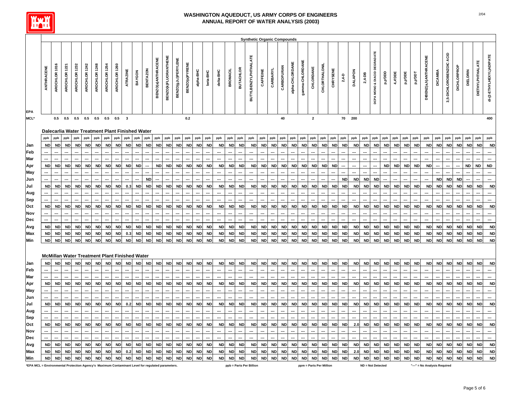

|                                                                                                 |            |               |               |               |               |               |               |               |                         |                                                 |                  |                    |                             |                      |                |            |                  |                  |                          |                  | <b>Synthetic Organic Compounds</b> |           |                  |            |                 |                 |                         |                      |           |                                       |                |           |                              |           |           |                                       |           |                              |                |                          |             |                 |                         |                          |
|-------------------------------------------------------------------------------------------------|------------|---------------|---------------|---------------|---------------|---------------|---------------|---------------|-------------------------|-------------------------------------------------|------------------|--------------------|-----------------------------|----------------------|----------------|------------|------------------|------------------|--------------------------|------------------|------------------------------------|-----------|------------------|------------|-----------------|-----------------|-------------------------|----------------------|-----------|---------------------------------------|----------------|-----------|------------------------------|-----------|-----------|---------------------------------------|-----------|------------------------------|----------------|--------------------------|-------------|-----------------|-------------------------|--------------------------|
|                                                                                                 | ANTHRACENE | AROCHLOR 1016 | AROCHLOR 1221 | AROCHLOR 1232 | AROCHLOR 1242 | AROCHLOR 1248 | AROCHLOR 1254 | AROCHLOR 1260 | ATRAZINE                | BAYGON                                          | <b>BENTAZON</b>  | BENZO(a)ANTHRACENE | <b>BENZO(K)FLUORANTHENE</b> | BENZO(g,h,l)PERYLENE | BENZO(a)PYRENE | alpha-BHC  | <b>beta-BHC</b>  | delta-BHC        | <b>BROMACIL</b>          | <b>BUTACHLOR</b> | <b>BUTYLBENZYLPHTHALATE</b>        | CAFFEINE  | <b>CARBARYL</b>  | CARBOFURAN | alpha-CHLORDANE | gamma-CHLORDANE | CHLORDANE               | <b>CHLORTHALONIL</b> | CHRYSENE  | $2,4-0$                               | <b>DALAPON</b> | $2,4-DB$  | DCPA MONO & DIACID DEGRADATE | aaa,d'd   | 4,4°DDE   | ad.d <sup>id</sup>                    | I.aa.d'd  | DIBENZ(a,h)ANTHRACENE        | <b>DICAMBA</b> | 3,5-DICHLOROBENZOIC ACID | DICHLORPROP | <b>DIELDRIN</b> | <b>DIETHYLPHTHALATE</b> | di-(2-ETHYLHEXYL)ADIPATE |
| <b>EPA</b><br>MCL*                                                                              |            | 0.5           | 0.5           | 0.5           | 0.5           | 0.5           | 0.5           | 0.5           | $\overline{\mathbf{3}}$ |                                                 |                  |                    |                             |                      | $\bf 0.2$      |            |                  |                  |                          |                  |                                    |           |                  | 40         |                 |                 | $\mathbf 2$             |                      |           | 70                                    | 200            |           |                              |           |           |                                       |           |                              |                |                          |             |                 |                         | 400                      |
|                                                                                                 |            |               |               |               |               |               |               |               |                         | Dalecarlia Water Treatment Plant Finished Water |                  |                    |                             |                      |                |            |                  |                  |                          |                  |                                    |           |                  |            |                 |                 |                         |                      |           |                                       |                |           |                              |           |           |                                       |           |                              |                |                          |             |                 |                         |                          |
|                                                                                                 | ppb        | ppb           | ppb           | ppb           | ppb           | ppb           | ppb           | ppb           | ppb                     | ppb                                             | ppb              | ppb                | ppb                         | ppb                  | ppb            | ppb        | ppb              | ppb              | ppb                      | ppb              | ppb                                | ppb       | ppb              | ppb        | ppb             | ppb             | ppb                     | ppb                  | ppb       | ppb                                   | ppb            | ppb       | ppb                          | ppb       | ppb       | ppb                                   | ppb       | ppb                          | ppb            | ppb                      | ppb         | ppb             | ppb                     | ppb                      |
| Jan                                                                                             | <b>ND</b>  | <b>ND</b>     | <b>ND</b>     | <b>ND</b>     | <b>ND</b>     | ND            | <b>ND</b>     | <b>ND</b>     | <b>ND</b>               | <b>ND</b>                                       | <b>ND</b>        | <b>ND</b>          | <b>ND</b>                   | <b>ND</b>            | <b>ND</b>      | <b>ND</b>  | <b>ND</b>        | <b>ND</b>        | <b>ND</b>                | <b>ND</b>        | <b>ND</b>                          | <b>ND</b> | <b>ND</b>        | <b>ND</b>  | <b>ND</b>       | <b>ND</b>       | <b>ND</b>               | <b>ND</b>            | <b>ND</b> | <b>ND</b>                             | <b>ND</b>      | <b>ND</b> | <b>ND</b>                    | <b>ND</b> | <b>ND</b> | <b>ND</b>                             | <b>ND</b> | <b>ND</b>                    | <b>ND</b>      | <b>ND</b>                | <b>ND</b>   | <b>ND</b>       | <b>ND</b>               | <b>ND</b>                |
| Feb                                                                                             |            |               |               |               |               |               |               |               |                         |                                                 |                  |                    |                             |                      |                |            |                  |                  |                          |                  |                                    |           |                  |            |                 |                 |                         |                      |           |                                       |                |           |                              |           |           |                                       |           |                              |                |                          |             |                 |                         |                          |
| Mar                                                                                             |            |               |               |               |               |               |               |               |                         |                                                 |                  |                    |                             |                      |                |            |                  |                  |                          |                  |                                    |           |                  |            |                 |                 |                         |                      |           |                                       |                |           |                              |           |           |                                       |           |                              |                |                          |             |                 |                         |                          |
| Apr                                                                                             | <b>ND</b>  | <b>ND</b>     | <b>ND</b>     | <b>ND</b>     | <b>ND</b>     | <b>ND</b>     | <b>ND</b>     | <b>ND</b>     | <b>ND</b>               | <b>ND</b>                                       |                  | <b>ND</b>          | <b>ND</b>                   | <b>ND</b>            | <b>ND</b>      | <b>ND</b>  | <b>ND</b>        | <b>ND</b>        | <b>ND</b>                | <b>ND</b>        | <b>ND</b>                          | <b>ND</b> | <b>ND</b>        | <b>ND</b>  | <b>ND</b>       | <b>ND</b>       | <b>ND</b>               | <b>ND</b>            | <b>ND</b> |                                       |                |           |                              | <b>ND</b> | <b>ND</b> | <b>ND</b>                             | <b>ND</b> | <b>ND</b>                    |                |                          |             | <b>ND</b>       | <b>ND</b>               | <b>ND</b>                |
| May                                                                                             |            |               |               |               |               |               |               |               |                         |                                                 |                  |                    |                             |                      |                |            |                  |                  |                          |                  |                                    |           |                  |            |                 |                 |                         |                      |           |                                       |                |           |                              |           |           |                                       |           |                              |                |                          |             |                 |                         |                          |
| Jun                                                                                             |            |               |               |               |               |               |               |               |                         |                                                 | <b>ND</b>        |                    |                             |                      |                |            |                  |                  |                          |                  |                                    |           |                  |            |                 |                 |                         |                      |           | <b>ND</b>                             | <b>ND</b>      | <b>ND</b> | <b>ND</b>                    |           |           |                                       |           |                              | <b>ND</b>      | <b>ND</b>                | <b>ND</b>   |                 |                         |                          |
| Jul                                                                                             | <b>ND</b>  | <b>ND</b>     | <b>ND</b>     | <b>ND</b>     | <b>ND</b>     | <b>ND</b>     | <b>ND</b>     | <b>ND</b>     | 0.3                     | <b>ND</b>                                       | <b>ND</b>        | <b>ND</b>          | <b>ND</b>                   | <b>ND</b>            | <b>ND</b>      | <b>ND</b>  | <b>ND</b>        | <b>ND</b>        | <b>ND</b>                | <b>ND</b>        | <b>ND</b>                          | <b>ND</b> | <b>ND</b>        | <b>ND</b>  | <b>ND</b>       | <b>ND</b>       | <b>ND</b>               | <b>ND</b>            | <b>ND</b> | <b>ND</b>                             | <b>ND</b>      | <b>ND</b> | <b>ND</b>                    | <b>ND</b> | <b>ND</b> | <b>ND</b>                             | <b>ND</b> | <b>ND</b>                    | <b>ND</b>      | <b>ND</b>                | <b>ND</b>   | <b>ND</b>       | <b>ND</b>               | <b>ND</b>                |
| Aug                                                                                             |            |               |               |               |               |               |               |               |                         |                                                 |                  |                    |                             |                      |                |            |                  |                  |                          |                  |                                    |           |                  |            |                 |                 |                         |                      |           |                                       |                |           |                              |           |           |                                       |           |                              |                |                          |             |                 |                         |                          |
| Sep                                                                                             |            |               |               |               |               |               |               |               |                         |                                                 |                  |                    |                             |                      |                |            |                  | $\overline{a}$   |                          |                  |                                    |           |                  |            |                 |                 |                         |                      |           |                                       |                |           |                              |           |           |                                       |           |                              |                |                          |             |                 |                         |                          |
| Oct                                                                                             | <b>ND</b>  | <b>ND</b>     | <b>ND</b>     | <b>ND</b>     | <b>ND</b>     | <b>ND</b>     | <b>ND</b>     | <b>ND</b>     | <b>ND</b>               | <b>ND</b>                                       | <b>ND</b>        | <b>ND</b>          | <b>ND</b>                   | <b>ND</b>            | <b>ND</b>      | <b>ND</b>  | <b>ND</b>        | <b>ND</b>        | <b>ND</b>                | <b>ND</b>        | <b>ND</b>                          | <b>ND</b> | <b>ND</b>        | <b>ND</b>  | <b>ND</b>       | <b>ND</b>       | <b>ND</b>               | <b>ND</b>            | <b>ND</b> | <b>ND</b>                             | <b>ND</b>      | <b>ND</b> | <b>ND</b>                    | <b>ND</b> | <b>ND</b> | ND                                    | ND        | <b>ND</b>                    | <b>ND</b>      | <b>ND</b>                | <b>ND</b>   | <b>ND</b>       | <b>ND</b>               | <b>ND</b>                |
| Nov                                                                                             |            |               |               |               |               |               |               |               |                         |                                                 |                  |                    |                             |                      |                |            |                  | $\overline{a}$   |                          |                  |                                    |           |                  |            |                 |                 |                         |                      |           |                                       |                |           |                              |           |           |                                       |           |                              |                |                          |             |                 |                         | $\overline{a}$           |
| Dec                                                                                             |            |               |               |               |               |               |               |               |                         |                                                 |                  |                    |                             |                      |                |            |                  |                  |                          |                  |                                    |           |                  |            |                 |                 |                         |                      |           |                                       |                |           |                              |           |           |                                       |           |                              |                |                          |             |                 |                         | $\overline{a}$           |
| Avg                                                                                             | <b>ND</b>  | <b>ND</b>     | <b>ND</b>     | <b>ND</b>     | <b>ND</b>     | <b>ND</b>     | <b>ND</b>     | <b>ND</b>     | <b>ND</b>               | <b>ND</b>                                       | <b>ND</b>        | <b>ND</b>          | <b>ND</b>                   | <b>ND</b>            | <b>ND</b>      | ND         | <b>ND</b>        | <b>ND</b>        | <b>ND</b>                | <b>ND</b>        | <b>ND</b>                          | <b>ND</b> | <b>ND</b>        | <b>ND</b>  | <b>ND</b>       | <b>ND</b>       | <b>ND</b>               | <b>ND</b>            | <b>ND</b> | <b>ND</b>                             | <b>ND</b>      | <b>ND</b> | <b>ND</b>                    | <b>ND</b> | ND        | <b>ND</b>                             | <b>ND</b> | <b>ND</b>                    | <b>ND</b>      | <b>ND</b>                | <b>ND</b>   | <b>ND</b>       | <b>ND</b>               | <b>ND</b>                |
| Max                                                                                             | <b>ND</b>  | <b>ND</b>     | <b>ND</b>     | <b>ND</b>     | <b>ND</b>     | <b>ND</b>     | <b>ND</b>     | <b>ND</b>     | 0.3                     | <b>ND</b>                                       | <b>ND</b>        | ND                 | <b>ND</b>                   | <b>ND</b>            | <b>ND</b>      | <b>ND</b>  | <b>ND</b>        | <b>ND</b>        | <b>ND</b>                | <b>ND</b>        | <b>ND</b>                          | <b>ND</b> | <b>ND</b>        | <b>ND</b>  | <b>ND</b>       | <b>ND</b>       | <b>ND</b>               | <b>ND</b>            | <b>ND</b> | <b>ND</b>                             | <b>ND</b>      | <b>ND</b> | <b>ND</b>                    | <b>ND</b> | <b>ND</b> | <b>ND</b>                             | <b>ND</b> | <b>ND</b>                    | <b>ND</b>      | <b>ND</b>                | <b>ND</b>   | <b>ND</b>       | <b>ND</b>               | <b>ND</b>                |
| Min                                                                                             | <b>ND</b>  | <b>ND</b>     | <b>ND</b>     | <b>ND</b>     | <b>ND</b>     | <b>ND</b>     | <b>ND</b>     | <b>ND</b>     | <b>ND</b>               | <b>ND</b>                                       | <b>ND</b>        | <b>ND</b>          | <b>ND</b>                   | <b>ND</b>            | <b>ND</b>      | <b>ND</b>  | <b>ND</b>        | <b>ND</b>        | <b>ND</b>                | <b>ND</b>        | <b>ND</b>                          | <b>ND</b> | <b>ND</b>        | <b>ND</b>  | <b>ND</b>       | <b>ND</b>       | <b>ND</b>               | <b>ND</b>            | <b>ND</b> | <b>ND</b>                             | <b>ND</b>      | <b>ND</b> | <b>ND</b>                    | <b>ND</b> | <b>ND</b> | <b>ND</b>                             | <b>ND</b> | <b>ND</b>                    | <b>ND</b>      | <b>ND</b>                | <b>ND</b>   | <b>ND</b>       | <b>ND</b>               | <b>ND</b>                |
|                                                                                                 |            |               |               |               |               |               |               |               |                         | McMillan Water Treatment Plant Finished Water   |                  |                    |                             |                      |                |            |                  |                  |                          |                  |                                    |           |                  |            |                 |                 |                         |                      |           |                                       |                |           |                              |           |           |                                       |           |                              |                |                          |             |                 |                         |                          |
| Jan                                                                                             | <b>ND</b>  | <b>ND</b>     | <b>ND</b>     | <b>ND</b>     | <b>ND</b>     | <b>ND</b>     | <b>ND</b>     | <b>ND</b>     | <b>ND</b>               | <b>ND</b>                                       | <b>ND</b><br>--- | ND                 | <b>ND</b>                   | <b>ND</b>            | <b>ND</b>      | <b>ND</b>  | <b>ND</b><br>÷., | <b>ND</b><br>--- | <b>ND</b><br>---         | <b>ND</b>        | <b>ND</b>                          | <b>ND</b> | <b>ND</b><br>--- | <b>ND</b>  | <b>ND</b>       | <b>ND</b>       | <b>ND</b>               | <b>ND</b>            | <b>ND</b> | <b>ND</b><br>$\overline{\phantom{a}}$ | <b>ND</b>      | ND        | <b>ND</b>                    | <b>ND</b> | <b>ND</b> | <b>ND</b><br>$\overline{\phantom{a}}$ | <b>ND</b> | <b>ND</b>                    | <b>ND</b>      | <b>ND</b>                | <b>ND</b>   | <b>ND</b>       | <b>ND</b>               | <b>ND</b>                |
| Feb                                                                                             |            |               | ---           |               |               |               |               |               |                         |                                                 |                  |                    |                             |                      |                |            |                  | $\overline{a}$   | ---                      |                  |                                    |           | ---              |            |                 |                 |                         |                      |           | $\overline{\phantom{a}}$              |                |           |                              |           |           | ---                                   |           |                              |                |                          |             |                 |                         |                          |
| <b>Mar</b>                                                                                      | <b>ND</b>  |               | <b>ND</b>     | <b>ND</b>     | <b>ND</b>     | ND            | <b>ND</b>     | <b>ND</b>     | <b>ND</b>               |                                                 | <b>ND</b>        | <b>ND</b>          | <b>ND</b>                   | <b>ND</b>            |                |            | <b>ND</b>        |                  |                          | <b>ND</b>        | <b>ND</b>                          |           |                  | <b>ND</b>  | <b>ND</b>       | <b>ND</b>       | <b>ND</b>               | <b>ND</b>            | <b>ND</b> |                                       | <b>ND</b>      | <b>ND</b> | <b>ND</b>                    | <b>ND</b> |           | <b>ND</b>                             | <b>ND</b> | <b>ND</b>                    | <b>ND</b>      | <b>ND</b>                |             | <b>ND</b>       | <b>ND</b>               | <b>ND</b>                |
| Apr                                                                                             |            | <b>ND</b>     |               |               |               |               |               |               |                         | <b>ND</b>                                       |                  |                    |                             |                      | <b>ND</b>      | <b>ND</b>  |                  | <b>ND</b>        | <b>ND</b>                |                  |                                    | <b>ND</b> | <b>ND</b>        |            |                 |                 |                         |                      |           | ND                                    |                |           |                              |           | <b>ND</b> |                                       |           |                              |                |                          | <b>ND</b>   |                 |                         |                          |
| May<br>Jun                                                                                      |            |               |               |               |               |               |               |               |                         |                                                 |                  |                    |                             |                      |                |            |                  |                  |                          |                  |                                    |           |                  |            |                 |                 |                         |                      |           |                                       |                |           |                              |           |           |                                       |           |                              |                |                          |             |                 |                         |                          |
| Jul                                                                                             | <b>ND</b>  | <b>ND</b>     | <b>ND</b>     | <b>ND</b>     | <b>ND</b>     | <b>ND</b>     | <b>ND</b>     | <b>ND</b>     | 0.2                     | <b>ND</b>                                       | <b>ND</b>        | <b>ND</b>          | <b>ND</b>                   | <b>ND</b>            | <b>ND</b>      | <b>ND</b>  | <b>ND</b>        | <b>ND</b>        | <b>ND</b>                | <b>ND</b>        | <b>ND</b>                          | <b>ND</b> | <b>ND</b>        | <b>ND</b>  | <b>ND</b>       | <b>ND</b>       | <b>ND</b>               | <b>ND</b>            | <b>ND</b> | <b>ND</b>                             | <b>ND</b>      | <b>ND</b> | <b>ND</b>                    | <b>ND</b> | <b>ND</b> | <b>ND</b>                             | <b>ND</b> | <b>ND</b>                    | <b>ND</b>      | <b>ND</b>                | <b>ND</b>   | <b>ND</b>       | <b>ND</b>               | <b>ND</b>                |
|                                                                                                 |            |               |               |               |               |               |               |               |                         |                                                 |                  |                    |                             |                      |                |            |                  | ---              | ---                      |                  |                                    |           |                  |            |                 |                 |                         |                      |           | --                                    |                |           |                              |           |           |                                       |           |                              |                |                          |             |                 |                         |                          |
| Aug                                                                                             |            |               |               |               |               |               |               |               |                         |                                                 |                  |                    |                             |                      |                |            |                  | ---              |                          |                  |                                    |           |                  |            |                 |                 |                         |                      |           |                                       |                |           |                              |           |           |                                       |           |                              |                |                          |             |                 |                         |                          |
| Sep                                                                                             | <b>ND</b>  | <b>ND</b>     | <b>ND</b>     | <b>ND</b>     | <b>ND</b>     | <b>ND</b>     | <b>ND</b>     | <b>ND</b>     | <b>ND</b>               | <b>ND</b>                                       | <b>ND</b>        | <b>ND</b>          | <b>ND</b>                   | <b>ND</b>            | $\sf ND$       | <b>ND</b>  | <b>ND</b>        | <b>ND</b>        |                          | <b>ND</b>        | <b>ND</b>                          | <b>ND</b> | <b>ND</b>        | <b>ND</b>  | <b>ND</b>       | <b>ND</b>       | <b>ND</b>               | <b>ND</b>            | <b>ND</b> |                                       | 2.0            | <b>ND</b> | <b>ND</b>                    | <b>ND</b> | <b>ND</b> | <b>ND</b>                             | <b>ND</b> | <b>ND</b>                    | <b>ND</b>      | <b>ND</b>                | <b>ND</b>   | <b>ND</b>       | <b>ND</b>               | <b>ND</b>                |
| Oct                                                                                             |            |               |               |               |               |               |               |               |                         |                                                 |                  |                    |                             |                      |                |            |                  |                  | <b>ND</b>                |                  |                                    |           |                  |            |                 |                 |                         |                      |           | <b>ND</b>                             |                |           |                              |           |           |                                       |           |                              |                |                          |             |                 |                         |                          |
| Nov<br>Dec                                                                                      |            |               |               |               |               |               |               |               |                         |                                                 |                  |                    |                             |                      |                |            |                  | $\overline{a}$   | $\overline{\phantom{a}}$ |                  |                                    |           |                  |            |                 |                 |                         |                      |           |                                       |                |           |                              |           |           |                                       |           |                              |                |                          |             |                 |                         | $\overline{a}$           |
| Avg                                                                                             | <b>ND</b>  | <b>ND</b>     | <b>ND</b>     | <b>ND</b>     | <b>ND</b>     | <b>ND</b>     | <b>ND</b>     | <b>ND</b>     | <b>ND</b>               | <b>ND</b>                                       | <b>ND</b>        | <b>ND</b>          | <b>ND</b>                   | <b>ND</b>            | <b>ND</b>      | ${\sf ND}$ | <b>ND</b>        | <b>ND</b>        | <b>ND</b>                | <b>ND</b>        | <b>ND</b>                          | <b>ND</b> | <b>ND</b>        | <b>ND</b>  | <b>ND</b>       | <b>ND</b>       | <b>ND</b>               | <b>ND</b>            | <b>ND</b> | <b>ND</b>                             | <b>ND</b>      | ND        | <b>ND</b>                    | <b>ND</b> | <b>ND</b> | ND                                    | ND        | <b>ND</b>                    | <b>ND</b>      | <b>ND</b>                | <b>ND</b>   | <b>ND</b>       | <b>ND</b>               | <b>ND</b>                |
| Max                                                                                             | <b>ND</b>  | <b>ND</b>     | <b>ND</b>     | <b>ND</b>     | <b>ND</b>     | <b>ND</b>     | <b>ND</b>     | <b>ND</b>     | 0.2                     | <b>ND</b>                                       | <b>ND</b>        | <b>ND</b>          | <b>ND</b>                   | <b>ND</b>            | <b>ND</b>      | <b>ND</b>  | <b>ND</b>        | ND               | <b>ND</b>                | <b>ND</b>        | <b>ND</b>                          | <b>ND</b> | <b>ND</b>        | <b>ND</b>  | <b>ND</b>       | <b>ND</b>       | <b>ND</b>               | <b>ND</b>            | <b>ND</b> | <b>ND</b>                             | 2.0            | <b>ND</b> | <b>ND</b>                    | <b>ND</b> | <b>ND</b> | ND                                    | <b>ND</b> | <b>ND</b>                    | <b>ND</b>      | <b>ND</b>                | <b>ND</b>   | <b>ND</b>       | <b>ND</b>               | <b>ND</b>                |
| Min                                                                                             | <b>ND</b>  | <b>ND</b>     | <b>ND</b>     | <b>ND</b>     | <b>ND</b>     | <b>ND</b>     | <b>ND</b>     | <b>ND</b>     | <b>ND</b>               | <b>ND</b>                                       | <b>ND</b>        | <b>ND</b>          | <b>ND</b>                   | <b>ND</b>            | <b>ND</b>      | <b>ND</b>  | <b>ND</b>        | <b>ND</b>        | <b>ND</b>                | <b>ND</b>        | <b>ND</b>                          | <b>ND</b> | <b>ND</b>        | <b>ND</b>  | <b>ND</b>       | <b>ND</b>       | <b>ND</b>               | <b>ND</b>            | <b>ND</b> | <b>ND</b>                             | <b>ND</b>      | <b>ND</b> | <b>ND</b>                    | <b>ND</b> | <b>ND</b> | <b>ND</b>                             | <b>ND</b> | <b>ND</b>                    | <b>ND</b>      | <b>ND</b>                | <b>ND</b>   | <b>ND</b>       | <b>ND</b>               | <b>ND</b>                |
| *EPA MCL = Environmental Protection Agency's Maximum Contaminant Level for regulated parameters |            |               |               |               |               |               |               |               |                         |                                                 |                  |                    |                             |                      |                |            |                  |                  |                          |                  | ppb = Parts Per Billion            |           |                  |            |                 |                 | ppm = Parts Per Million |                      |           |                                       |                |           | ND = Not Detected            |           |           |                                       |           | "---" = No Analysis Required |                |                          |             |                 |                         |                          |